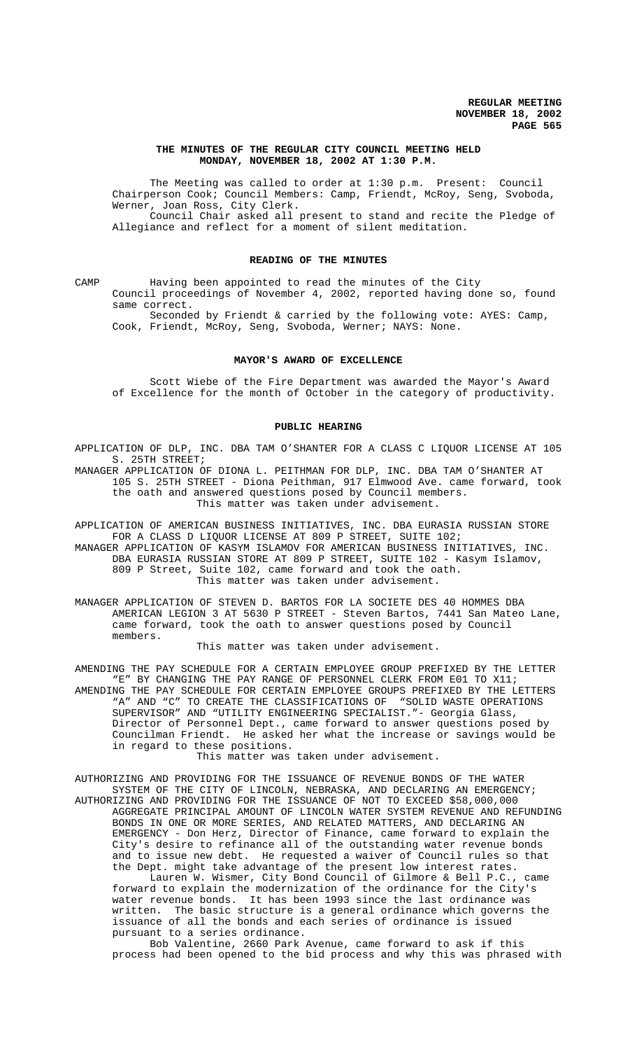### **THE MINUTES OF THE REGULAR CITY COUNCIL MEETING HELD MONDAY, NOVEMBER 18, 2002 AT 1:30 P.M.**

The Meeting was called to order at 1:30 p.m. Present: Council Chairperson Cook; Council Members: Camp, Friendt, McRoy, Seng, Svoboda, Werner, Joan Ross, City Clerk. Council Chair asked all present to stand and recite the Pledge of Allegiance and reflect for a moment of silent meditation.

#### **READING OF THE MINUTES**

CAMP Having been appointed to read the minutes of the City Council proceedings of November 4, 2002, reported having done so, found same correct.

Seconded by Friendt & carried by the following vote: AYES: Camp, Cook, Friendt, McRoy, Seng, Svoboda, Werner; NAYS: None.

#### **MAYOR'S AWARD OF EXCELLENCE**

Scott Wiebe of the Fire Department was awarded the Mayor's Award of Excellence for the month of October in the category of productivity.

#### **PUBLIC HEARING**

APPLICATION OF DLP, INC. DBA TAM O'SHANTER FOR A CLASS C LIQUOR LICENSE AT 105 S. 25TH STREET; MANAGER APPLICATION OF DIONA L. PEITHMAN FOR DLP, INC. DBA TAM O'SHANTER AT

105 S. 25TH STREET - Diona Peithman, 917 Elmwood Ave. came forward, took the oath and answered questions posed by Council members. This matter was taken under advisement.

APPLICATION OF AMERICAN BUSINESS INITIATIVES, INC. DBA EURASIA RUSSIAN STORE FOR A CLASS D LIQUOR LICENSE AT 809 P STREET, SUITE 102; MANAGER APPLICATION OF KASYM ISLAMOV FOR AMERICAN BUSINESS INITIATIVES, INC. DBA EURASIA RUSSIAN STORE AT 809 P STREET, SUITE 102 - Kasym Islamov, 809 P Street, Suite 102, came forward and took the oath. This matter was taken under advisement.

MANAGER APPLICATION OF STEVEN D. BARTOS FOR LA SOCIETE DES 40 HOMMES DBA AMERICAN LEGION 3 AT 5630 P STREET - Steven Bartos, 7441 San Mateo Lane, came forward, took the oath to answer questions posed by Council members.

This matter was taken under advisement.

AMENDING THE PAY SCHEDULE FOR A CERTAIN EMPLOYEE GROUP PREFIXED BY THE LETTER "E" BY CHANGING THE PAY RANGE OF PERSONNEL CLERK FROM E01 TO X11; AMENDING THE PAY SCHEDULE FOR CERTAIN EMPLOYEE GROUPS PREFIXED BY THE LETTERS "A" AND "C" TO CREATE THE CLASSIFICATIONS OF "SOLID WASTE OPERATIONS SUPERVISOR" AND "UTILITY ENGINEERING SPECIALIST."- Georgia Glass, Director of Personnel Dept., came forward to answer questions posed by Councilman Friendt. He asked her what the increase or savings would be in regard to these positions.

This matter was taken under advisement.

AUTHORIZING AND PROVIDING FOR THE ISSUANCE OF REVENUE BONDS OF THE WATER SYSTEM OF THE CITY OF LINCOLN, NEBRASKA, AND DECLARING AN EMERGENCY; AUTHORIZING AND PROVIDING FOR THE ISSUANCE OF NOT TO EXCEED \$58,000,000 AGGREGATE PRINCIPAL AMOUNT OF LINCOLN WATER SYSTEM REVENUE AND REFUNDING BONDS IN ONE OR MORE SERIES, AND RELATED MATTERS, AND DECLARING AN EMERGENCY - Don Herz, Director of Finance, came forward to explain the City's desire to refinance all of the outstanding water revenue bonds and to issue new debt. He requested a waiver of Council rules so that the Dept. might take advantage of the present low interest rates.

Lauren W. Wismer, City Bond Council of Gilmore & Bell P.C., came forward to explain the modernization of the ordinance for the City's water revenue bonds. It has been 1993 since the last ordinance was written. The basic structure is a general ordinance which governs the issuance of all the bonds and each series of ordinance is issued pursuant to a series ordinance.

Bob Valentine, 2660 Park Avenue, came forward to ask if this process had been opened to the bid process and why this was phrased with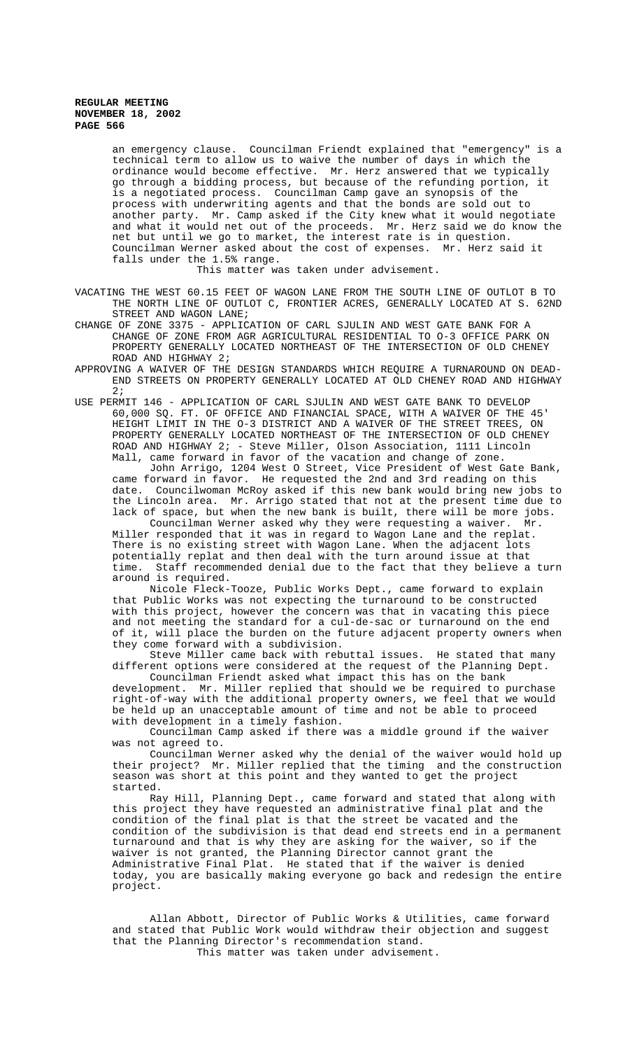an emergency clause. Councilman Friendt explained that "emergency" is a technical term to allow us to waive the number of days in which the ordinance would become effective. Mr. Herz answered that we typically go through a bidding process, but because of the refunding portion, it is a negotiated process. Councilman Camp gave an synopsis of the process with underwriting agents and that the bonds are sold out to another party. Mr. Camp asked if the City knew what it would negotiate and what it would net out of the proceeds. Mr. Herz said we do know the net but until we go to market, the interest rate is in question. Councilman Werner asked about the cost of expenses. Mr. Herz said it falls under the 1.5% range.

This matter was taken under advisement.

VACATING THE WEST 60.15 FEET OF WAGON LANE FROM THE SOUTH LINE OF OUTLOT B TO THE NORTH LINE OF OUTLOT C, FRONTIER ACRES, GENERALLY LOCATED AT S. 62ND STREET AND WAGON LANE;

CHANGE OF ZONE 3375 - APPLICATION OF CARL SJULIN AND WEST GATE BANK FOR A CHANGE OF ZONE FROM AGR AGRICULTURAL RESIDENTIAL TO O-3 OFFICE PARK ON PROPERTY GENERALLY LOCATED NORTHEAST OF THE INTERSECTION OF OLD CHENEY ROAD AND HIGHWAY 2;

APPROVING A WAIVER OF THE DESIGN STANDARDS WHICH REQUIRE A TURNAROUND ON DEAD-END STREETS ON PROPERTY GENERALLY LOCATED AT OLD CHENEY ROAD AND HIGHWAY 2;

USE PERMIT 146 - APPLICATION OF CARL SJULIN AND WEST GATE BANK TO DEVELOP 60,000 SQ. FT. OF OFFICE AND FINANCIAL SPACE, WITH A WAIVER OF THE 45' HEIGHT LIMIT IN THE O-3 DISTRICT AND A WAIVER OF THE STREET TREES, ON PROPERTY GENERALLY LOCATED NORTHEAST OF THE INTERSECTION OF OLD CHENEY ROAD AND HIGHWAY 2; - Steve Miller, Olson Association, 1111 Lincoln Mall, came forward in favor of the vacation and change of zone.

John Arrigo, 1204 West O Street, Vice President of West Gate Bank, came forward in favor. He requested the 2nd and 3rd reading on this date. Councilwoman McRoy asked if this new bank would bring new jobs to the Lincoln area. Mr. Arrigo stated that not at the present time due to lack of space, but when the new bank is built, there will be more jobs.

Councilman Werner asked why they were requesting a waiver. Mr. Miller responded that it was in regard to Wagon Lane and the replat. There is no existing street with Wagon Lane. When the adjacent lots potentially replat and then deal with the turn around issue at that time. Staff recommended denial due to the fact that they believe a turn around is required.

Nicole Fleck-Tooze, Public Works Dept., came forward to explain that Public Works was not expecting the turnaround to be constructed with this project, however the concern was that in vacating this piece and not meeting the standard for a cul-de-sac or turnaround on the end of it, will place the burden on the future adjacent property owners when they come forward with a subdivision.

Steve Miller came back with rebuttal issues. He stated that many different options were considered at the request of the Planning Dept.

Councilman Friendt asked what impact this has on the bank development. Mr. Miller replied that should we be required to purchase right-of-way with the additional property owners, we feel that we would be held up an unacceptable amount of time and not be able to proceed with development in a timely fashion.

Councilman Camp asked if there was a middle ground if the waiver was not agreed to.

Councilman Werner asked why the denial of the waiver would hold up their project? Mr. Miller replied that the timing and the construction season was short at this point and they wanted to get the project started.

Ray Hill, Planning Dept., came forward and stated that along with this project they have requested an administrative final plat and the condition of the final plat is that the street be vacated and the condition of the subdivision is that dead end streets end in a permanent turnaround and that is why they are asking for the waiver, so if the waiver is not granted, the Planning Director cannot grant the Administrative Final Plat. He stated that if the waiver is denied today, you are basically making everyone go back and redesign the entire project.

Allan Abbott, Director of Public Works & Utilities, came forward and stated that Public Work would withdraw their objection and suggest that the Planning Director's recommendation stand.

This matter was taken under advisement.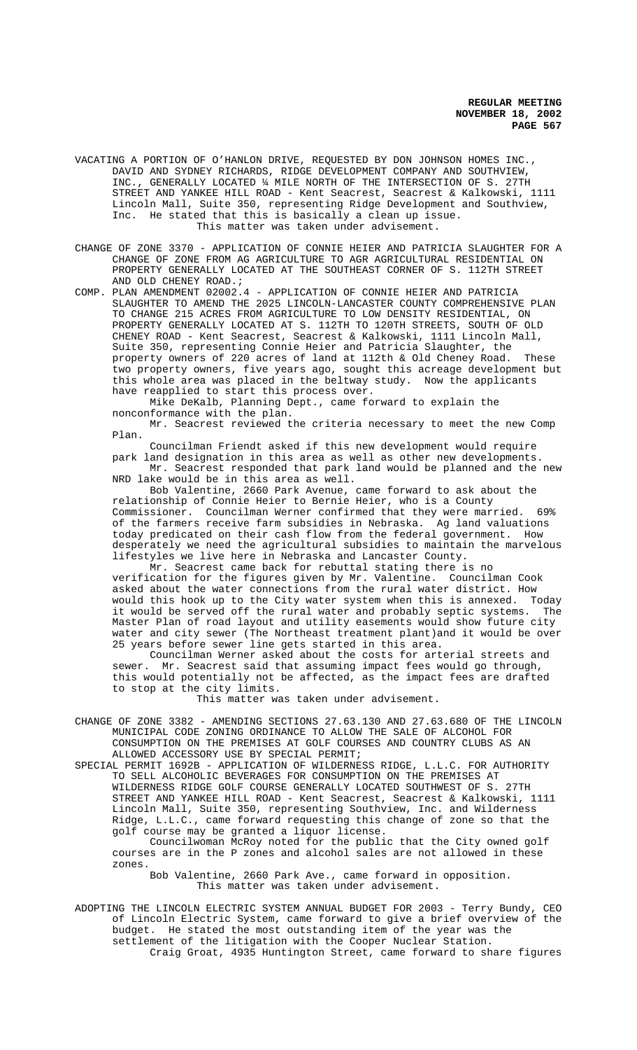VACATING A PORTION OF O'HANLON DRIVE, REQUESTED BY DON JOHNSON HOMES INC., DAVID AND SYDNEY RICHARDS, RIDGE DEVELOPMENT COMPANY AND SOUTHVIEW, INC., GENERALLY LOCATED ¼ MILE NORTH OF THE INTERSECTION OF S. 27TH STREET AND YANKEE HILL ROAD - Kent Seacrest, Seacrest & Kalkowski, 1111 Lincoln Mall, Suite 350, representing Ridge Development and Southview, Inc. He stated that this is basically a clean up issue. This matter was taken under advisement.

CHANGE OF ZONE 3370 - APPLICATION OF CONNIE HEIER AND PATRICIA SLAUGHTER FOR A CHANGE OF ZONE FROM AG AGRICULTURE TO AGR AGRICULTURAL RESIDENTIAL ON PROPERTY GENERALLY LOCATED AT THE SOUTHEAST CORNER OF S. 112TH STREET AND OLD CHENEY ROAD.;

COMP. PLAN AMENDMENT 02002.4 - APPLICATION OF CONNIE HEIER AND PATRICIA SLAUGHTER TO AMEND THE 2025 LINCOLN-LANCASTER COUNTY COMPREHENSIVE PLAN TO CHANGE 215 ACRES FROM AGRICULTURE TO LOW DENSITY RESIDENTIAL, ON PROPERTY GENERALLY LOCATED AT S. 112TH TO 120TH STREETS, SOUTH OF OLD CHENEY ROAD - Kent Seacrest, Seacrest & Kalkowski, 1111 Lincoln Mall, Suite 350, representing Connie Heier and Patricia Slaughter, the property owners of 220 acres of land at 112th & Old Cheney Road. These two property owners, five years ago, sought this acreage development but this whole area was placed in the beltway study. Now the applicants have reapplied to start this process over.

Mike DeKalb, Planning Dept., came forward to explain the nonconformance with the plan.

Mr. Seacrest reviewed the criteria necessary to meet the new Comp Plan.

Councilman Friendt asked if this new development would require park land designation in this area as well as other new developments.

Mr. Seacrest responded that park land would be planned and the new NRD lake would be in this area as well.

Bob Valentine, 2660 Park Avenue, came forward to ask about the relationship of Connie Heier to Bernie Heier, who is a County Commissioner. Councilman Werner confirmed that they were married. 69% of the farmers receive farm subsidies in Nebraska. Ag land valuations today predicated on their cash flow from the federal government. How desperately we need the agricultural subsidies to maintain the marvelous lifestyles we live here in Nebraska and Lancaster County.

Mr. Seacrest came back for rebuttal stating there is no verification for the figures given by Mr. Valentine. Councilman Cook asked about the water connections from the rural water district. How would this hook up to the City water system when this is annexed. Today it would be served off the rural water and probably septic systems. The Master Plan of road layout and utility easements would show future city water and city sewer (The Northeast treatment plant)and it would be over 25 years before sewer line gets started in this area.

Councilman Werner asked about the costs for arterial streets and sewer. Mr. Seacrest said that assuming impact fees would go through, this would potentially not be affected, as the impact fees are drafted to stop at the city limits.

This matter was taken under advisement.

CHANGE OF ZONE 3382 - AMENDING SECTIONS 27.63.130 AND 27.63.680 OF THE LINCOLN MUNICIPAL CODE ZONING ORDINANCE TO ALLOW THE SALE OF ALCOHOL FOR CONSUMPTION ON THE PREMISES AT GOLF COURSES AND COUNTRY CLUBS AS AN ALLOWED ACCESSORY USE BY SPECIAL PERMIT;

SPECIAL PERMIT 1692B - APPLICATION OF WILDERNESS RIDGE, L.L.C. FOR AUTHORITY TO SELL ALCOHOLIC BEVERAGES FOR CONSUMPTION ON THE PREMISES AT WILDERNESS RIDGE GOLF COURSE GENERALLY LOCATED SOUTHWEST OF S. 27TH STREET AND YANKEE HILL ROAD - Kent Seacrest, Seacrest & Kalkowski, 1111 Lincoln Mall, Suite 350, representing Southview, Inc. and Wilderness Ridge, L.L.C., came forward requesting this change of zone so that the golf course may be granted a liquor license.

Councilwoman McRoy noted for the public that the City owned golf courses are in the P zones and alcohol sales are not allowed in these zones.

Bob Valentine, 2660 Park Ave., came forward in opposition. This matter was taken under advisement.

ADOPTING THE LINCOLN ELECTRIC SYSTEM ANNUAL BUDGET FOR 2003 - Terry Bundy, CEO of Lincoln Electric System, came forward to give a brief overview of the budget. He stated the most outstanding item of the year was the settlement of the litigation with the Cooper Nuclear Station. Craig Groat, 4935 Huntington Street, came forward to share figures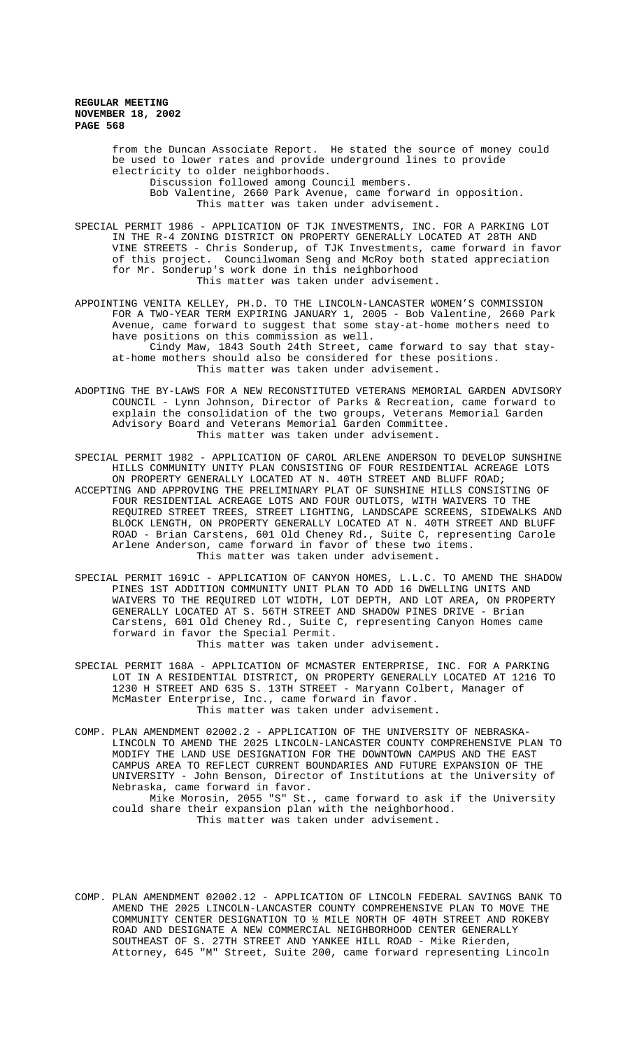> from the Duncan Associate Report. He stated the source of money could be used to lower rates and provide underground lines to provide electricity to older neighborhoods. Discussion followed among Council members. Bob Valentine, 2660 Park Avenue, came forward in opposition. This matter was taken under advisement.

SPECIAL PERMIT 1986 - APPLICATION OF TJK INVESTMENTS, INC. FOR A PARKING LOT IN THE R-4 ZONING DISTRICT ON PROPERTY GENERALLY LOCATED AT 28TH AND VINE STREETS - Chris Sonderup, of TJK Investments, came forward in favor of this project. Councilwoman Seng and McRoy both stated appreciation for Mr. Sonderup's work done in this neighborhood This matter was taken under advisement.

- APPOINTING VENITA KELLEY, PH.D. TO THE LINCOLN-LANCASTER WOMEN'S COMMISSION FOR A TWO-YEAR TERM EXPIRING JANUARY 1, 2005 - Bob Valentine, 2660 Park Avenue, came forward to suggest that some stay-at-home mothers need to have positions on this commission as well. Cindy Maw, 1843 South 24th Street, came forward to say that stayat-home mothers should also be considered for these positions. This matter was taken under advisement.
- ADOPTING THE BY-LAWS FOR A NEW RECONSTITUTED VETERANS MEMORIAL GARDEN ADVISORY COUNCIL - Lynn Johnson, Director of Parks & Recreation, came forward to explain the consolidation of the two groups, Veterans Memorial Garden Advisory Board and Veterans Memorial Garden Committee. This matter was taken under advisement.
- SPECIAL PERMIT 1982 APPLICATION OF CAROL ARLENE ANDERSON TO DEVELOP SUNSHINE HILLS COMMUNITY UNITY PLAN CONSISTING OF FOUR RESIDENTIAL ACREAGE LOTS ON PROPERTY GENERALLY LOCATED AT N. 40TH STREET AND BLUFF ROAD; ACCEPTING AND APPROVING THE PRELIMINARY PLAT OF SUNSHINE HILLS CONSISTING OF FOUR RESIDENTIAL ACREAGE LOTS AND FOUR OUTLOTS, WITH WAIVERS TO THE REQUIRED STREET TREES, STREET LIGHTING, LANDSCAPE SCREENS, SIDEWALKS AND BLOCK LENGTH, ON PROPERTY GENERALLY LOCATED AT N. 40TH STREET AND BLUFF ROAD - Brian Carstens, 601 Old Cheney Rd., Suite C, representing Carole Arlene Anderson, came forward in favor of these two items. This matter was taken under advisement.
- SPECIAL PERMIT 1691C APPLICATION OF CANYON HOMES, L.L.C. TO AMEND THE SHADOW PINES 1ST ADDITION COMMUNITY UNIT PLAN TO ADD 16 DWELLING UNITS AND WAIVERS TO THE REQUIRED LOT WIDTH, LOT DEPTH, AND LOT AREA, ON PROPERTY GENERALLY LOCATED AT S. 56TH STREET AND SHADOW PINES DRIVE - Brian Carstens, 601 Old Cheney Rd., Suite C, representing Canyon Homes came forward in favor the Special Permit. This matter was taken under advisement.
- SPECIAL PERMIT 168A APPLICATION OF MCMASTER ENTERPRISE, INC. FOR A PARKING LOT IN A RESIDENTIAL DISTRICT, ON PROPERTY GENERALLY LOCATED AT 1216 TO 1230 H STREET AND 635 S. 13TH STREET - Maryann Colbert, Manager of McMaster Enterprise, Inc., came forward in favor. This matter was taken under advisement.

COMP. PLAN AMENDMENT 02002.2 - APPLICATION OF THE UNIVERSITY OF NEBRASKA-LINCOLN TO AMEND THE 2025 LINCOLN-LANCASTER COUNTY COMPREHENSIVE PLAN TO MODIFY THE LAND USE DESIGNATION FOR THE DOWNTOWN CAMPUS AND THE EAST CAMPUS AREA TO REFLECT CURRENT BOUNDARIES AND FUTURE EXPANSION OF THE UNIVERSITY - John Benson, Director of Institutions at the University of Nebraska, came forward in favor. Mike Morosin, 2055 "S" St., came forward to ask if the University could share their expansion plan with the neighborhood. This matter was taken under advisement.

COMP. PLAN AMENDMENT 02002.12 - APPLICATION OF LINCOLN FEDERAL SAVINGS BANK TO AMEND THE 2025 LINCOLN-LANCASTER COUNTY COMPREHENSIVE PLAN TO MOVE THE COMMUNITY CENTER DESIGNATION TO ½ MILE NORTH OF 40TH STREET AND ROKEBY ROAD AND DESIGNATE A NEW COMMERCIAL NEIGHBORHOOD CENTER GENERALLY SOUTHEAST OF S. 27TH STREET AND YANKEE HILL ROAD - Mike Rierden, Attorney, 645 "M" Street, Suite 200, came forward representing Lincoln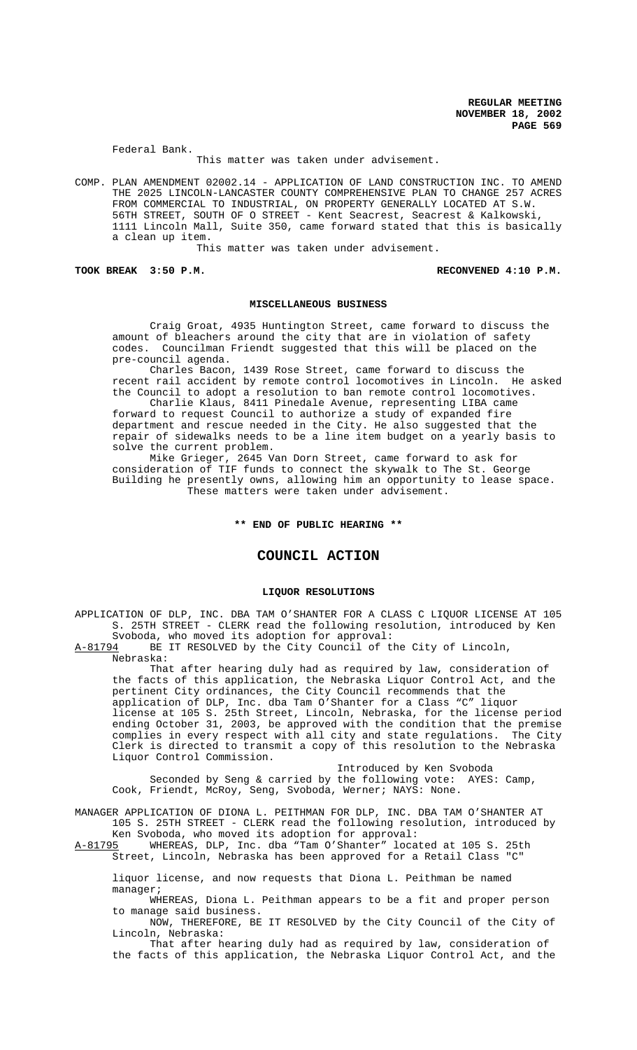Federal Bank.

This matter was taken under advisement.

COMP. PLAN AMENDMENT 02002.14 - APPLICATION OF LAND CONSTRUCTION INC. TO AMEND THE 2025 LINCOLN-LANCASTER COUNTY COMPREHENSIVE PLAN TO CHANGE 257 ACRES FROM COMMERCIAL TO INDUSTRIAL, ON PROPERTY GENERALLY LOCATED AT S.W. 56TH STREET, SOUTH OF O STREET - Kent Seacrest, Seacrest & Kalkowski, 1111 Lincoln Mall, Suite 350, came forward stated that this is basically a clean up item.

This matter was taken under advisement.

TOOK BREAK 3:50 P.M. **RECONVENED 4:10 P.M.** 

#### **MISCELLANEOUS BUSINESS**

Craig Groat, 4935 Huntington Street, came forward to discuss the amount of bleachers around the city that are in violation of safety codes. Councilman Friendt suggested that this will be placed on the pre-council agenda.

Charles Bacon, 1439 Rose Street, came forward to discuss the recent rail accident by remote control locomotives in Lincoln. He asked the Council to adopt a resolution to ban remote control locomotives. Charlie Klaus, 8411 Pinedale Avenue, representing LIBA came

forward to request Council to authorize a study of expanded fire department and rescue needed in the City. He also suggested that the repair of sidewalks needs to be a line item budget on a yearly basis to solve the current problem.

Mike Grieger, 2645 Van Dorn Street, came forward to ask for consideration of TIF funds to connect the skywalk to The St. George Building he presently owns, allowing him an opportunity to lease space. These matters were taken under advisement.

**\*\* END OF PUBLIC HEARING \*\***

# **COUNCIL ACTION**

### **LIQUOR RESOLUTIONS**

APPLICATION OF DLP, INC. DBA TAM O'SHANTER FOR A CLASS C LIQUOR LICENSE AT 105 S. 25TH STREET - CLERK read the following resolution, introduced by Ken Svoboda, who moved its adoption for approval:

A-81794 BE IT RESOLVED by the City Council of the City of Lincoln,

Nebraska:

That after hearing duly had as required by law, consideration of the facts of this application, the Nebraska Liquor Control Act, and the pertinent City ordinances, the City Council recommends that the application of DLP, Inc. dba Tam O'Shanter for a Class "C" liquor license at 105 S. 25th Street, Lincoln, Nebraska, for the license period ending October 31, 2003, be approved with the condition that the premise complies in every respect with all city and state regulations. The City Clerk is directed to transmit a copy of this resolution to the Nebraska Liquor Control Commission.

Introduced by Ken Svoboda Seconded by Seng & carried by the following vote: AYES: Camp, Cook, Friendt, McRoy, Seng, Svoboda, Werner; NAYS: None.

MANAGER APPLICATION OF DIONA L. PEITHMAN FOR DLP, INC. DBA TAM O'SHANTER AT 105 S. 25TH STREET - CLERK read the following resolution, introduced by Ken Svoboda, who moved its adoption for approval:

A-81795 WHEREAS, DLP, Inc. dba "Tam O'Shanter" located at 105 S. 25th Street, Lincoln, Nebraska has been approved for a Retail Class "C"

liquor license, and now requests that Diona L. Peithman be named manager;

WHEREAS, Diona L. Peithman appears to be a fit and proper person to manage said business.

NOW, THEREFORE, BE IT RESOLVED by the City Council of the City of Lincoln, Nebraska:

That after hearing duly had as required by law, consideration of the facts of this application, the Nebraska Liquor Control Act, and the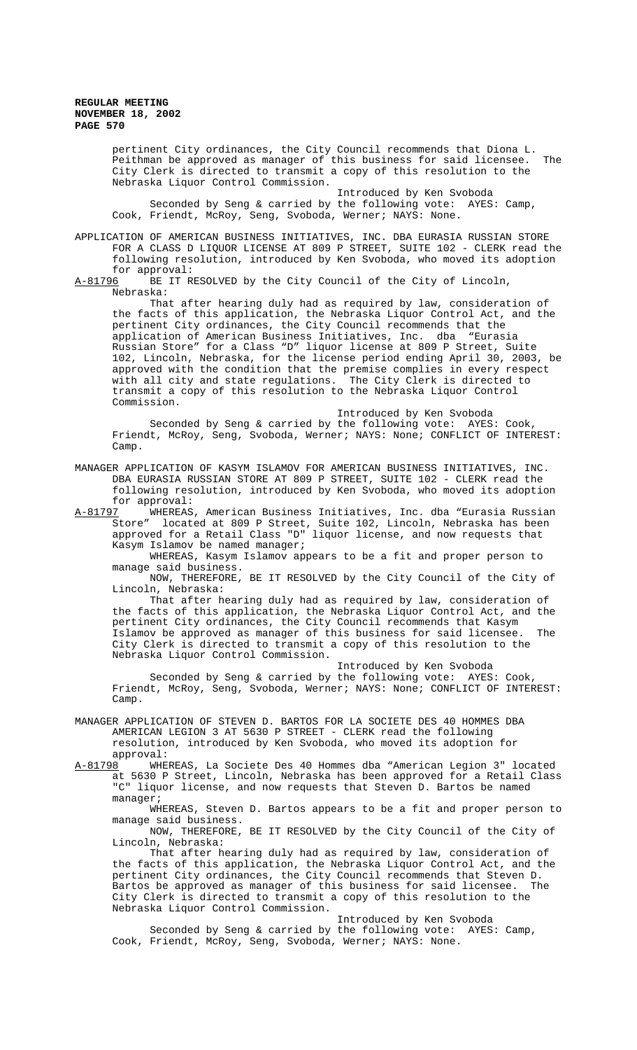> pertinent City ordinances, the City Council recommends that Diona L. Peithman be approved as manager of this business for said licensee. The City Clerk is directed to transmit a copy of this resolution to the Nebraska Liquor Control Commission.

Introduced by Ken Svoboda Seconded by Seng & carried by the following vote: AYES: Camp, Cook, Friendt, McRoy, Seng, Svoboda, Werner; NAYS: None.

APPLICATION OF AMERICAN BUSINESS INITIATIVES, INC. DBA EURASIA RUSSIAN STORE FOR A CLASS D LIQUOR LICENSE AT 809 P STREET, SUITE 102 - CLERK read the following resolution, introduced by Ken Svoboda, who moved its adoption for approval:<br><u>A-81796</u> BE IT R

BE IT RESOLVED by the City Council of the City of Lincoln, Nebraska:

That after hearing duly had as required by law, consideration of the facts of this application, the Nebraska Liquor Control Act, and the pertinent City ordinances, the City Council recommends that the application of American Business Initiatives, Inc. dba "Eurasia Russian Store" for a Class "D" liquor license at 809 P Street, Suite 102, Lincoln, Nebraska, for the license period ending April 30, 2003, be approved with the condition that the premise complies in every respect with all city and state regulations. The City Clerk is directed to transmit a copy of this resolution to the Nebraska Liquor Control Commission.

Introduced by Ken Svoboda Seconded by Seng & carried by the following vote: AYES: Cook, Friendt, McRoy, Seng, Svoboda, Werner; NAYS: None; CONFLICT OF INTEREST: Camp.

MANAGER APPLICATION OF KASYM ISLAMOV FOR AMERICAN BUSINESS INITIATIVES, INC. DBA EURASIA RUSSIAN STORE AT 809 P STREET, SUITE 102 - CLERK read the following resolution, introduced by Ken Svoboda, who moved its adoption for approval:<br>A-81797 WHEREAS

WHEREAS, American Business Initiatives, Inc. dba "Eurasia Russian Store" located at 809 P Street, Suite 102, Lincoln, Nebraska has been approved for a Retail Class "D" liquor license, and now requests that Kasym Islamov be named manager;

WHEREAS, Kasym Islamov appears to be a fit and proper person to manage said business.

NOW, THEREFORE, BE IT RESOLVED by the City Council of the City of Lincoln, Nebraska:

That after hearing duly had as required by law, consideration of the facts of this application, the Nebraska Liquor Control Act, and the pertinent City ordinances, the City Council recommends that Kasym Islamov be approved as manager of this business for said licensee. The City Clerk is directed to transmit a copy of this resolution to the Nebraska Liquor Control Commission.

Introduced by Ken Svoboda Seconded by Seng & carried by the following vote: AYES: Cook, Friendt, McRoy, Seng, Svoboda, Werner; NAYS: None; CONFLICT OF INTEREST: Camp.

MANAGER APPLICATION OF STEVEN D. BARTOS FOR LA SOCIETE DES 40 HOMMES DBA AMERICAN LEGION 3 AT 5630 P STREET - CLERK read the following resolution, introduced by Ken Svoboda, who moved its adoption for approval:

A-81798 WHEREAS, La Societe Des 40 Hommes dba "American Legion 3" located at 5630 P Street, Lincoln, Nebraska has been approved for a Retail Class "C" liquor license, and now requests that Steven D. Bartos be named manager;

WHEREAS, Steven D. Bartos appears to be a fit and proper person to manage said business.

NOW, THEREFORE, BE IT RESOLVED by the City Council of the City of Lincoln, Nebraska:

That after hearing duly had as required by law, consideration of the facts of this application, the Nebraska Liquor Control Act, and the pertinent City ordinances, the City Council recommends that Steven D. Bartos be approved as manager of this business for said licensee. The City Clerk is directed to transmit a copy of this resolution to the Nebraska Liquor Control Commission.

Introduced by Ken Svoboda Seconded by Seng & carried by the following vote: AYES: Camp, Cook, Friendt, McRoy, Seng, Svoboda, Werner; NAYS: None.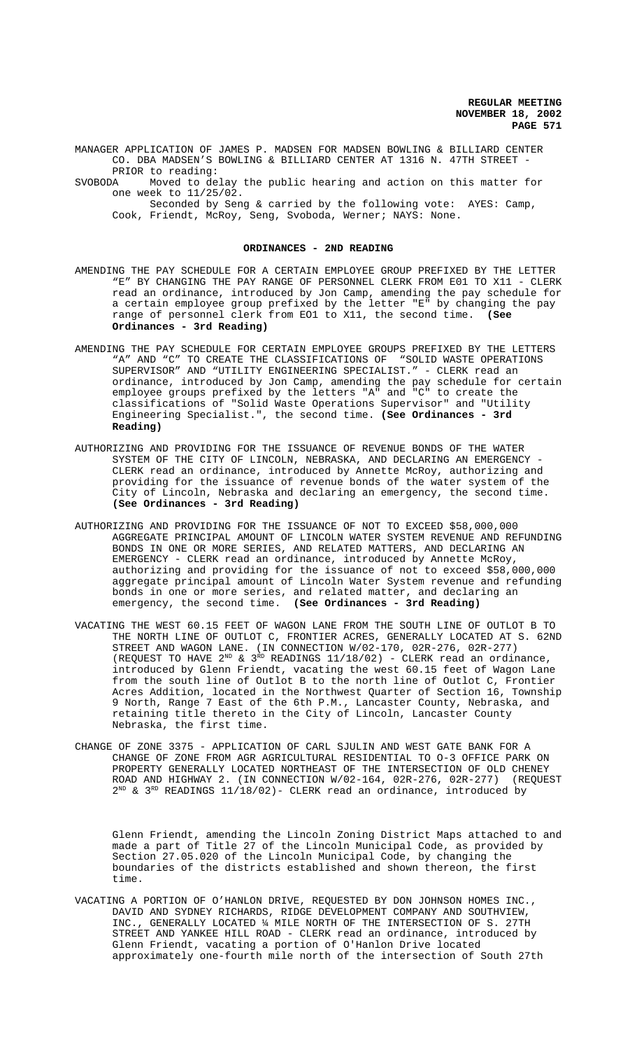MANAGER APPLICATION OF JAMES P. MADSEN FOR MADSEN BOWLING & BILLIARD CENTER CO. DBA MADSEN'S BOWLING & BILLIARD CENTER AT 1316 N. 47TH STREET

PRIOR to reading:<br>SVOBODA Moved to de Moved to delay the public hearing and action on this matter for one week to 11/25/02.

Seconded by Seng & carried by the following vote: AYES: Camp, Cook, Friendt, McRoy, Seng, Svoboda, Werner; NAYS: None.

#### **ORDINANCES - 2ND READING**

- AMENDING THE PAY SCHEDULE FOR A CERTAIN EMPLOYEE GROUP PREFIXED BY THE LETTER "E" BY CHANGING THE PAY RANGE OF PERSONNEL CLERK FROM E01 TO X11 - CLERK read an ordinance, introduced by Jon Camp, amending the pay schedule for a certain employee group prefixed by the letter "E" by changing the pay range of personnel clerk from EO1 to X11, the second time. **(See Ordinances - 3rd Reading)**
- AMENDING THE PAY SCHEDULE FOR CERTAIN EMPLOYEE GROUPS PREFIXED BY THE LETTERS "A" AND "C" TO CREATE THE CLASSIFICATIONS OF "SOLID WASTE OPERATIONS SUPERVISOR" AND "UTILITY ENGINEERING SPECIALIST." - CLERK read an ordinance, introduced by Jon Camp, amending the pay schedule for certain employee groups prefixed by the letters "A" and "C" to create the classifications of "Solid Waste Operations Supervisor" and "Utility Engineering Specialist.", the second time. **(See Ordinances - 3rd Reading)**
- AUTHORIZING AND PROVIDING FOR THE ISSUANCE OF REVENUE BONDS OF THE WATER SYSTEM OF THE CITY OF LINCOLN, NEBRASKA, AND DECLARING AN EMERGENCY -CLERK read an ordinance, introduced by Annette McRoy, authorizing and providing for the issuance of revenue bonds of the water system of the City of Lincoln, Nebraska and declaring an emergency, the second time. **(See Ordinances - 3rd Reading)**
- AUTHORIZING AND PROVIDING FOR THE ISSUANCE OF NOT TO EXCEED \$58,000,000 AGGREGATE PRINCIPAL AMOUNT OF LINCOLN WATER SYSTEM REVENUE AND REFUNDING BONDS IN ONE OR MORE SERIES, AND RELATED MATTERS, AND DECLARING AN EMERGENCY - CLERK read an ordinance, introduced by Annette McRoy, authorizing and providing for the issuance of not to exceed \$58,000,000 aggregate principal amount of Lincoln Water System revenue and refunding bonds in one or more series, and related matter, and declaring an emergency, the second time. **(See Ordinances - 3rd Reading)**
- VACATING THE WEST 60.15 FEET OF WAGON LANE FROM THE SOUTH LINE OF OUTLOT B TO THE NORTH LINE OF OUTLOT C, FRONTIER ACRES, GENERALLY LOCATED AT S. 62ND STREET AND WAGON LANE. (IN CONNECTION W/02-170, 02R-276, 02R-277) (REQUEST TO HAVE  $2^{ND}$  &  $3^{RD}$  READINGS 11/18/02) - CLERK read an ordinance, introduced by Glenn Friendt, vacating the west 60.15 feet of Wagon Lane from the south line of Outlot B to the north line of Outlot C, Frontier Acres Addition, located in the Northwest Quarter of Section 16, Township 9 North, Range 7 East of the 6th P.M., Lancaster County, Nebraska, and retaining title thereto in the City of Lincoln, Lancaster County Nebraska, the first time.
- CHANGE OF ZONE 3375 APPLICATION OF CARL SJULIN AND WEST GATE BANK FOR A CHANGE OF ZONE FROM AGR AGRICULTURAL RESIDENTIAL TO O-3 OFFICE PARK ON PROPERTY GENERALLY LOCATED NORTHEAST OF THE INTERSECTION OF OLD CHENEY<br>ROAD AND HIGHWAY 2. (IN CONNECTION W/02-164, 02R-276, 02R-277) (REOUEST ROAD AND HIGHWAY 2. (IN CONNECTION W/02-164, 02R-276, 02R-277) (REQUEST  $2^{ND}$  &  $3^{RD}$  READINGS 11/18/02)- CLERK read an ordinance, introduced by

Glenn Friendt, amending the Lincoln Zoning District Maps attached to and made a part of Title 27 of the Lincoln Municipal Code, as provided by Section 27.05.020 of the Lincoln Municipal Code, by changing the boundaries of the districts established and shown thereon, the first time.

VACATING A PORTION OF O'HANLON DRIVE, REQUESTED BY DON JOHNSON HOMES INC., DAVID AND SYDNEY RICHARDS, RIDGE DEVELOPMENT COMPANY AND SOUTHVIEW, INC., GENERALLY LOCATED ¼ MILE NORTH OF THE INTERSECTION OF S. 27TH STREET AND YANKEE HILL ROAD - CLERK read an ordinance, introduced by Glenn Friendt, vacating a portion of O'Hanlon Drive located approximately one-fourth mile north of the intersection of South 27th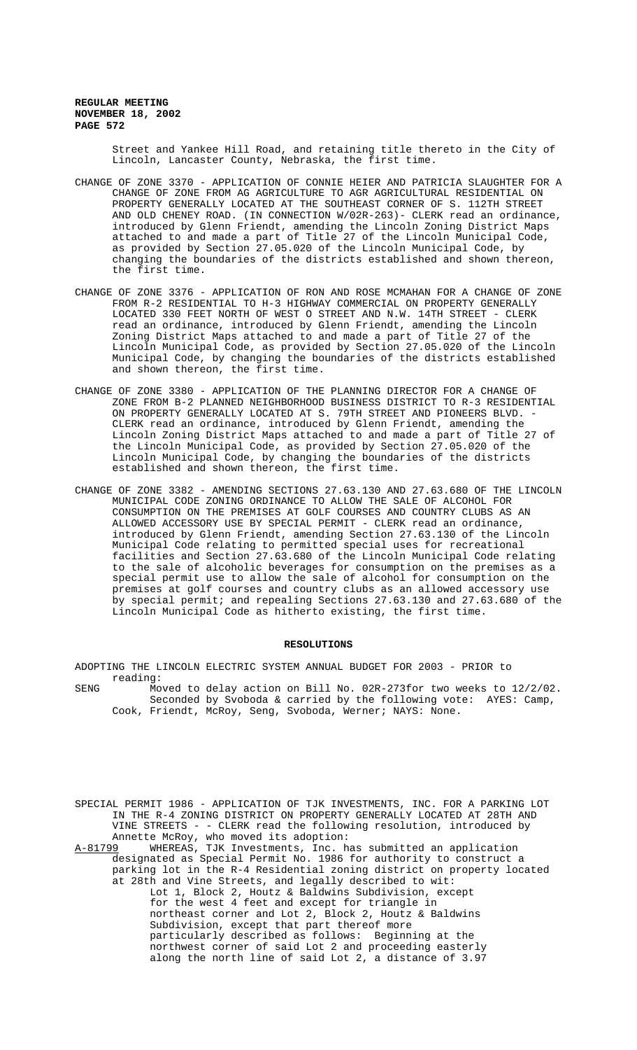> Street and Yankee Hill Road, and retaining title thereto in the City of Lincoln, Lancaster County, Nebraska, the first time.

- CHANGE OF ZONE 3370 APPLICATION OF CONNIE HEIER AND PATRICIA SLAUGHTER FOR A CHANGE OF ZONE FROM AG AGRICULTURE TO AGR AGRICULTURAL RESIDENTIAL ON PROPERTY GENERALLY LOCATED AT THE SOUTHEAST CORNER OF S. 112TH STREET AND OLD CHENEY ROAD. (IN CONNECTION W/02R-263)- CLERK read an ordinance, introduced by Glenn Friendt, amending the Lincoln Zoning District Maps attached to and made a part of Title 27 of the Lincoln Municipal Code, as provided by Section 27.05.020 of the Lincoln Municipal Code, by changing the boundaries of the districts established and shown thereon, the first time.
- CHANGE OF ZONE 3376 APPLICATION OF RON AND ROSE MCMAHAN FOR A CHANGE OF ZONE FROM R-2 RESIDENTIAL TO H-3 HIGHWAY COMMERCIAL ON PROPERTY GENERALLY LOCATED 330 FEET NORTH OF WEST O STREET AND N.W. 14TH STREET - CLERK read an ordinance, introduced by Glenn Friendt, amending the Lincoln Zoning District Maps attached to and made a part of Title 27 of the Lincoln Municipal Code, as provided by Section 27.05.020 of the Lincoln Municipal Code, by changing the boundaries of the districts established and shown thereon, the first time.
- CHANGE OF ZONE 3380 APPLICATION OF THE PLANNING DIRECTOR FOR A CHANGE OF ZONE FROM B-2 PLANNED NEIGHBORHOOD BUSINESS DISTRICT TO R-3 RESIDENTIAL ON PROPERTY GENERALLY LOCATED AT S. 79TH STREET AND PIONEERS BLVD. -CLERK read an ordinance, introduced by Glenn Friendt, amending the Lincoln Zoning District Maps attached to and made a part of Title 27 of the Lincoln Municipal Code, as provided by Section 27.05.020 of the Lincoln Municipal Code, by changing the boundaries of the districts established and shown thereon, the first time.
- CHANGE OF ZONE 3382 AMENDING SECTIONS 27.63.130 AND 27.63.680 OF THE LINCOLN MUNICIPAL CODE ZONING ORDINANCE TO ALLOW THE SALE OF ALCOHOL FOR CONSUMPTION ON THE PREMISES AT GOLF COURSES AND COUNTRY CLUBS AS AN ALLOWED ACCESSORY USE BY SPECIAL PERMIT - CLERK read an ordinance, introduced by Glenn Friendt, amending Section 27.63.130 of the Lincoln Municipal Code relating to permitted special uses for recreational facilities and Section 27.63.680 of the Lincoln Municipal Code relating to the sale of alcoholic beverages for consumption on the premises as a special permit use to allow the sale of alcohol for consumption on the premises at golf courses and country clubs as an allowed accessory use by special permit; and repealing Sections 27.63.130 and 27.63.680 of the Lincoln Municipal Code as hitherto existing, the first time.

#### **RESOLUTIONS**

ADOPTING THE LINCOLN ELECTRIC SYSTEM ANNUAL BUDGET FOR 2003 - PRIOR to reading:

- SENG Moved to delay action on Bill No. 02R-273for two weeks to 12/2/02. Seconded by Svoboda & carried by the following vote: AYES: Camp, Cook, Friendt, McRoy, Seng, Svoboda, Werner; NAYS: None.
- SPECIAL PERMIT 1986 APPLICATION OF TJK INVESTMENTS, INC. FOR A PARKING LOT IN THE R-4 ZONING DISTRICT ON PROPERTY GENERALLY LOCATED AT 28TH AND VINE STREETS - - CLERK read the following resolution, introduced by Annette McRoy, who moved its adoption:

A-81799 WHEREAS, TJK Investments, Inc. has submitted an application designated as Special Permit No. 1986 for authority to construct a parking lot in the R-4 Residential zoning district on property located at 28th and Vine Streets, and legally described to wit: Lot 1, Block 2, Houtz & Baldwins Subdivision, except for the west 4 feet and except for triangle in northeast corner and Lot 2, Block 2, Houtz & Baldwins Subdivision, except that part thereof more particularly described as follows: Beginning at the northwest corner of said Lot 2 and proceeding easterly along the north line of said Lot 2, a distance of 3.97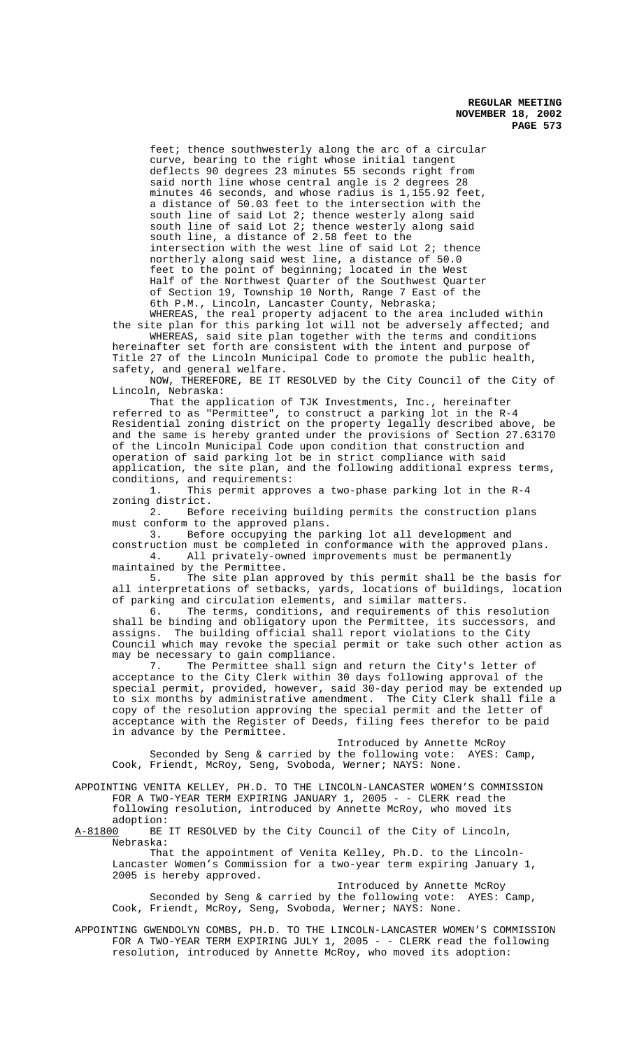feet; thence southwesterly along the arc of a circular curve, bearing to the right whose initial tangent deflects 90 degrees 23 minutes 55 seconds right from said north line whose central angle is 2 degrees 28 minutes 46 seconds, and whose radius is 1,155.92 feet, a distance of 50.03 feet to the intersection with the south line of said Lot 2; thence westerly along said south line of said Lot 2; thence westerly along said south line, a distance of 2.58 feet to the intersection with the west line of said Lot 2; thence northerly along said west line, a distance of 50.0 feet to the point of beginning; located in the West Half of the Northwest Quarter of the Southwest Quarter of Section 19, Township 10 North, Range 7 East of the 6th P.M., Lincoln, Lancaster County, Nebraska;

WHEREAS, the real property adjacent to the area included within the site plan for this parking lot will not be adversely affected; and WHEREAS, said site plan together with the terms and conditions hereinafter set forth are consistent with the intent and purpose of

Title 27 of the Lincoln Municipal Code to promote the public health, safety, and general welfare.

NOW, THEREFORE, BE IT RESOLVED by the City Council of the City of Lincoln, Nebraska:

That the application of TJK Investments, Inc., hereinafter referred to as "Permittee", to construct a parking lot in the R-4 Residential zoning district on the property legally described above, be and the same is hereby granted under the provisions of Section 27.63170 of the Lincoln Municipal Code upon condition that construction and operation of said parking lot be in strict compliance with said application, the site plan, and the following additional express terms, conditions, and requirements:

1. This permit approves a two-phase parking lot in the R-4 zoning district.<br>2. Befo

Before receiving building permits the construction plans must conform to the approved plans.<br>3. Before occupying the pa

Before occupying the parking lot all development and construction must be completed in conformance with the approved plans.<br>4. All privately-owned improvements must be permanently

All privately-owned improvements must be permanently maintained by the Permittee.<br>5. The site plan ap

The site plan approved by this permit shall be the basis for all interpretations of setbacks, yards, locations of buildings, location of parking and circulation elements, and similar matters.

6. The terms, conditions, and requirements of this resolution shall be binding and obligatory upon the Permittee, its successors, and assigns. The building official shall report violations to the City Council which may revoke the special permit or take such other action as may be necessary to gain compliance.

7. The Permittee shall sign and return the City's letter of acceptance to the City Clerk within 30 days following approval of the special permit, provided, however, said 30-day period may be extended up to six months by administrative amendment. The City Clerk shall file a copy of the resolution approving the special permit and the letter of acceptance with the Register of Deeds, filing fees therefor to be paid in advance by the Permittee.

Introduced by Annette McRoy Seconded by Seng & carried by the following vote: AYES: Camp, Cook, Friendt, McRoy, Seng, Svoboda, Werner; NAYS: None.

APPOINTING VENITA KELLEY, PH.D. TO THE LINCOLN-LANCASTER WOMEN'S COMMISSION FOR A TWO-YEAR TERM EXPIRING JANUARY 1, 2005 - - CLERK read the following resolution, introduced by Annette McRoy, who moved its

adoption:<br>A-81800 BE BE IT RESOLVED by the City Council of the City of Lincoln, Nebraska:

That the appointment of Venita Kelley, Ph.D. to the Lincoln-Lancaster Women's Commission for a two-year term expiring January 1, 2005 is hereby approved.

Introduced by Annette McRoy Seconded by Seng & carried by the following vote: AYES: Camp, Cook, Friendt, McRoy, Seng, Svoboda, Werner; NAYS: None.

APPOINTING GWENDOLYN COMBS, PH.D. TO THE LINCOLN-LANCASTER WOMEN'S COMMISSION FOR A TWO-YEAR TERM EXPIRING JULY 1, 2005 - - CLERK read the following resolution, introduced by Annette McRoy, who moved its adoption: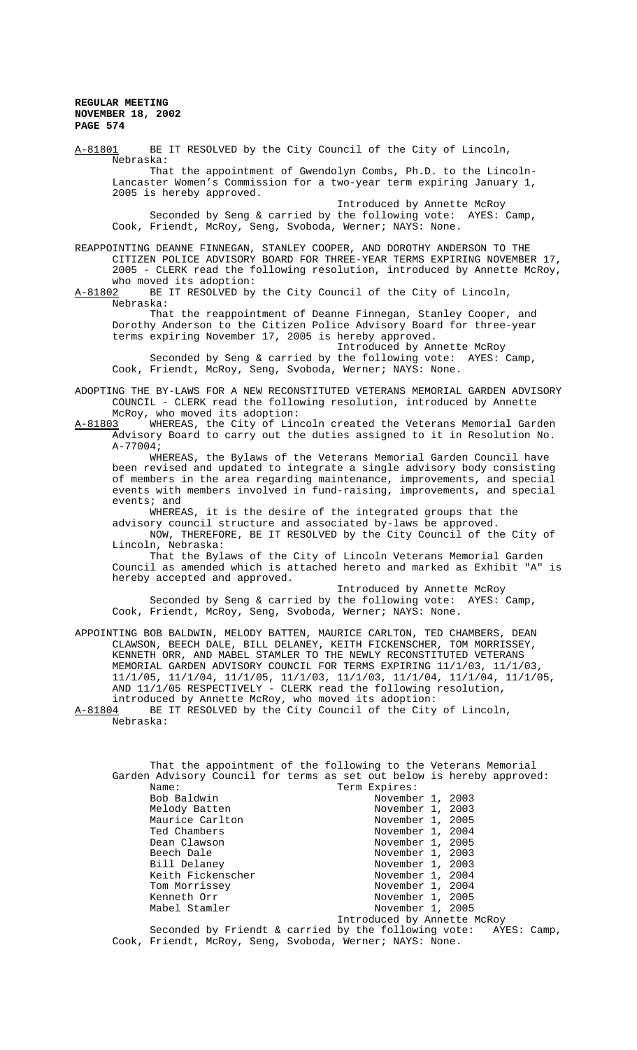A-81801 BE IT RESOLVED by the City Council of the City of Lincoln, Nebraska: That the appointment of Gwendolyn Combs, Ph.D. to the Lincoln-Lancaster Women's Commission for a two-year term expiring January 1, 2005 is hereby approved. Introduced by Annette McRoy Seconded by Seng & carried by the following vote: AYES: Camp, Cook, Friendt, McRoy, Seng, Svoboda, Werner; NAYS: None. REAPPOINTING DEANNE FINNEGAN, STANLEY COOPER, AND DOROTHY ANDERSON TO THE CITIZEN POLICE ADVISORY BOARD FOR THREE-YEAR TERMS EXPIRING NOVEMBER 17, 2005 - CLERK read the following resolution, introduced by Annette McRoy, who moved its adoption:<br>A-81802 BE IT RESOLVED by BE IT RESOLVED by the City Council of the City of Lincoln, Nebraska: That the reappointment of Deanne Finnegan, Stanley Cooper, and Dorothy Anderson to the Citizen Police Advisory Board for three-year terms expiring November 17, 2005 is hereby approved. Introduced by Annette McRoy Seconded by Seng & carried by the following vote: AYES: Camp, Cook, Friendt, McRoy, Seng, Svoboda, Werner; NAYS: None. ADOPTING THE BY-LAWS FOR A NEW RECONSTITUTED VETERANS MEMORIAL GARDEN ADVISORY COUNCIL - CLERK read the following resolution, introduced by Annette McRoy, who moved its adoption:<br>A-81803 WHEREAS, the City of Lin WHEREAS, the City of Lincoln created the Veterans Memorial Garden Advisory Board to carry out the duties assigned to it in Resolution No. A-77004; WHEREAS, the Bylaws of the Veterans Memorial Garden Council have been revised and updated to integrate a single advisory body consisting of members in the area regarding maintenance, improvements, and special events with members involved in fund-raising, improvements, and special events; and WHEREAS, it is the desire of the integrated groups that the advisory council structure and associated by-laws be approved. NOW, THEREFORE, BE IT RESOLVED by the City Council of the City of Lincoln, Nebraska: That the Bylaws of the City of Lincoln Veterans Memorial Garden Council as amended which is attached hereto and marked as Exhibit "A" is hereby accepted and approved. Introduced by Annette McRoy Seconded by Seng & carried by the following vote: AYES: Camp, Cook, Friendt, McRoy, Seng, Svoboda, Werner; NAYS: None. APPOINTING BOB BALDWIN, MELODY BATTEN, MAURICE CARLTON, TED CHAMBERS, DEAN CLAWSON, BEECH DALE, BILL DELANEY, KEITH FICKENSCHER, TOM MORRISSEY, KENNETH ORR, AND MABEL STAMLER TO THE NEWLY RECONSTITUTED VETERANS MEMORIAL GARDEN ADVISORY COUNCIL FOR TERMS EXPIRING 11/1/03, 11/1/03, 11/1/05, 11/1/04, 11/1/05, 11/1/03, 11/1/03, 11/1/04, 11/1/04, 11/1/05, AND 11/1/05 RESPECTIVELY - CLERK read the following resolution, introduced by Annette McRoy, who moved its adoption:<br>A-81804 BE IT RESOLVED by the City Council of the City BE IT RESOLVED by the City Council of the City of Lincoln, Nebraska: That the appointment of the following to the Veterans Memorial Garden Advisory Council for terms as set out below is hereby approved:<br>Name: Term Expires: Name: Term Expires:<br>Bob Baldwin Movembe Bob Baldwin November 1, 2003<br>Melody Batten November 1, 2003 Melody Batten<br>Melody Batten November 1, 2003<br>Maurice Carlton November 1, 2005 Maurice Carlton Movember 1, 2005<br>Ted Chambers Movember 1, 2004 Ted Chambers November 1, 2004<br>Dean Clawson November 1, 2005 Dean Clawson November 1, 2005 Beech Dale November 1, 2003<br>Bill Delaney November 1, 2003 Bill Delaney<br>
Keith Fickenscher November 1, 2004 Keith Fickenscher November 1, 2004 Tom Morrissey  $\sim$  November 1, 2004 Kenneth Orr **November 1, 2005** Mabel Stamler November 1, 2005 Introduced by Annette McRoy

Seconded by Friendt & carried by the following vote: AYES: Camp, Cook, Friendt, McRoy, Seng, Svoboda, Werner; NAYS: None.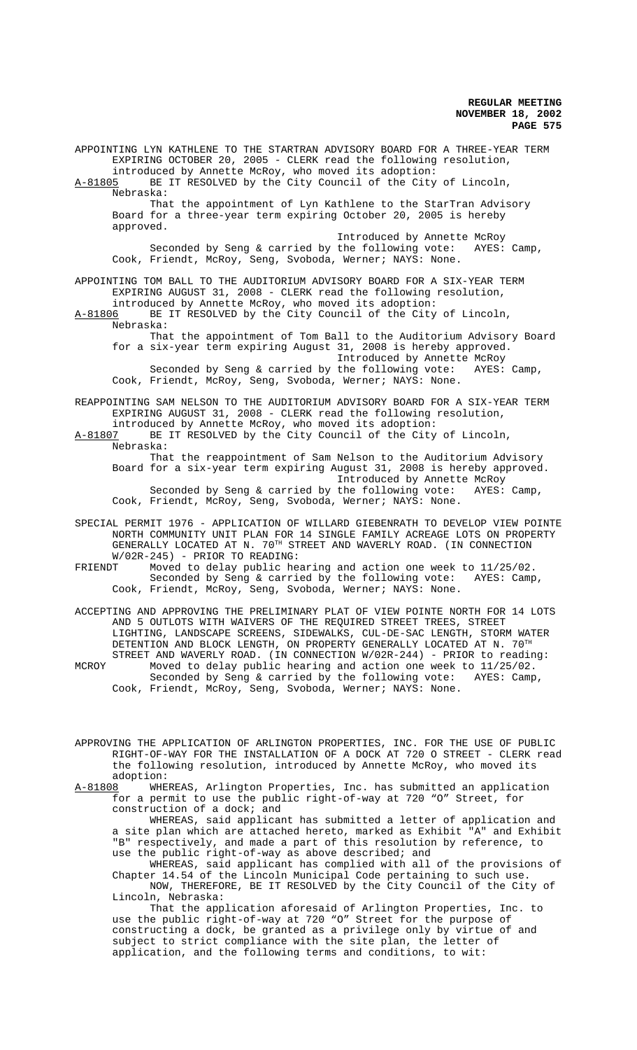APPOINTING LYN KATHLENE TO THE STARTRAN ADVISORY BOARD FOR A THREE-YEAR TERM EXPIRING OCTOBER 20, 2005 - CLERK read the following resolution, introduced by Annette McRoy, who moved its adoption:<br>A-81805 BE IT RESOLVED by the City Council of the City BE IT RESOLVED by the City Council of the City of Lincoln, Nebraska: That the appointment of Lyn Kathlene to the StarTran Advisory Board for a three-year term expiring October 20, 2005 is hereby approved. Introduced by Annette McRoy Seconded by Seng & carried by the following vote: AYES: Camp, Cook, Friendt, McRoy, Seng, Svoboda, Werner; NAYS: None. APPOINTING TOM BALL TO THE AUDITORIUM ADVISORY BOARD FOR A SIX-YEAR TERM EXPIRING AUGUST 31, 2008 - CLERK read the following resolution, introduced by Annette McRoy, who moved its adoption: A-81806 BE IT RESOLVED by the City Council of the City of Lincoln, Nebraska: That the appointment of Tom Ball to the Auditorium Advisory Board for a six-year term expiring August 31, 2008 is hereby approved. Introduced by Annette McRoy<br>the following vote: AYES: Camp, Seconded by Seng & carried by the following vote: Cook, Friendt, McRoy, Seng, Svoboda, Werner; NAYS: None. REAPPOINTING SAM NELSON TO THE AUDITORIUM ADVISORY BOARD FOR A SIX-YEAR TERM EXPIRING AUGUST 31, 2008 - CLERK read the following resolution, introduced by Annette McRoy, who moved its adoption:<br>A-81807 BE IT RESOLVED by the City Council of the City BE IT RESOLVED by the City Council of the City of Lincoln, Nebraska: That the reappointment of Sam Nelson to the Auditorium Advisory Board for a six-year term expiring August 31, 2008 is hereby approved. Introduced by Annette McRoy<br>the following vote: AYES: Camp, Seconded by Seng & carried by the following vote: Cook, Friendt, McRoy, Seng, Svoboda, Werner; NAYS: None. SPECIAL PERMIT 1976 - APPLICATION OF WILLARD GIEBENRATH TO DEVELOP VIEW POINTE NORTH COMMUNITY UNIT PLAN FOR 14 SINGLE FAMILY ACREAGE LOTS ON PROPERTY GENERALLY LOCATED AT N. 70<sup>TH</sup> STREET AND WAVERLY ROAD. (IN CONNECTION W/02R-245) - PRIOR TO READING:<br>FRIENDT Moved to delay public he Moved to delay public hearing and action one week to  $11/25/02$ .<br>Seconded by Seng & carried by the following yote: AYES: Camp. Seconded by Seng & carried by the following vote: Cook, Friendt, McRoy, Seng, Svoboda, Werner; NAYS: None. ACCEPTING AND APPROVING THE PRELIMINARY PLAT OF VIEW POINTE NORTH FOR 14 LOTS AND 5 OUTLOTS WITH WAIVERS OF THE REQUIRED STREET TREES, STREET LIGHTING, LANDSCAPE SCREENS, SIDEWALKS, CUL-DE-SAC LENGTH, STORM WATER DETENTION AND BLOCK LENGTH, ON PROPERTY GENERALLY LOCATED AT N. 70TH STREET AND WAVERLY ROAD. (IN CONNECTION W/02R-244) - PRIOR to reading: MCROY Moved to delay public hearing and action one week to 11/25/02. Seconded by Seng & carried by the following vote: AYES: Camp, Cook, Friendt, McRoy, Seng, Svoboda, Werner; NAYS: None. APPROVING THE APPLICATION OF ARLINGTON PROPERTIES, INC. FOR THE USE OF PUBLIC RIGHT-OF-WAY FOR THE INSTALLATION OF A DOCK AT 720 O STREET - CLERK read the following resolution, introduced by Annette McRoy, who moved its adoption:<br>A-81808 WHE WHEREAS, Arlington Properties, Inc. has submitted an application for a permit to use the public right-of-way at 720 "O" Street, for

construction of a dock; and WHEREAS, said applicant has submitted a letter of application and a site plan which are attached hereto, marked as Exhibit "A" and Exhibit "B" respectively, and made a part of this resolution by reference, to use the public right-of-way as above described; and

WHEREAS, said applicant has complied with all of the provisions of Chapter 14.54 of the Lincoln Municipal Code pertaining to such use. NOW, THEREFORE, BE IT RESOLVED by the City Council of the City of Lincoln, Nebraska:

That the application aforesaid of Arlington Properties, Inc. to use the public right-of-way at 720 "O" Street for the purpose of constructing a dock, be granted as a privilege only by virtue of and subject to strict compliance with the site plan, the letter of application, and the following terms and conditions, to wit: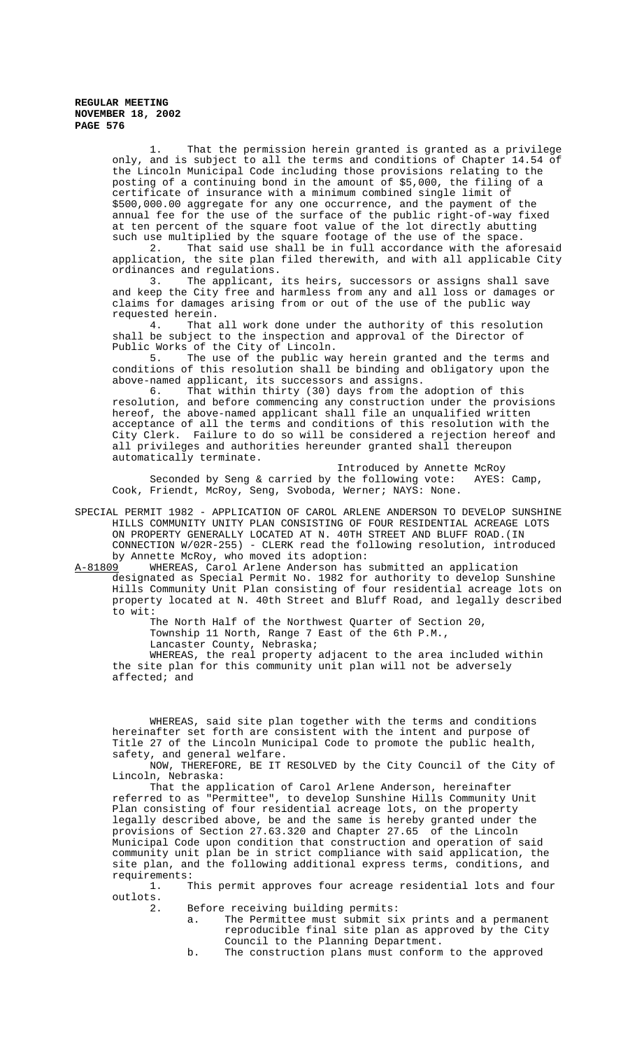1. That the permission herein granted is granted as a privilege only, and is subject to all the terms and conditions of Chapter 14.54 of the Lincoln Municipal Code including those provisions relating to the posting of a continuing bond in the amount of \$5,000, the filing of a certificate of insurance with a minimum combined single limit of \$500,000.00 aggregate for any one occurrence, and the payment of the annual fee for the use of the surface of the public right-of-way fixed at ten percent of the square foot value of the lot directly abutting such use multiplied by the square footage of the use of the space.<br>2. That said use shall be in full accordance with the afo

That said use shall be in full accordance with the aforesaid application, the site plan filed therewith, and with all applicable City ordinances and regulations.

3. The applicant, its heirs, successors or assigns shall save and keep the City free and harmless from any and all loss or damages or claims for damages arising from or out of the use of the public way

requested herein.<br>4. That That all work done under the authority of this resolution shall be subject to the inspection and approval of the Director of Public Works of the City of Lincoln.

5. The use of the public way herein granted and the terms and conditions of this resolution shall be binding and obligatory upon the above-named applicant, its successors and assigns.

6. That within thirty (30) days from the adoption of this resolution, and before commencing any construction under the provisions hereof, the above-named applicant shall file an unqualified written acceptance of all the terms and conditions of this resolution with the City Clerk. Failure to do so will be considered a rejection hereof and all privileges and authorities hereunder granted shall thereupon automatically terminate.

Introduced by Annette McRoy Seconded by Seng & carried by the following vote: AYES: Camp, Cook, Friendt, McRoy, Seng, Svoboda, Werner; NAYS: None.

SPECIAL PERMIT 1982 - APPLICATION OF CAROL ARLENE ANDERSON TO DEVELOP SUNSHINE HILLS COMMUNITY UNITY PLAN CONSISTING OF FOUR RESIDENTIAL ACREAGE LOTS ON PROPERTY GENERALLY LOCATED AT N. 40TH STREET AND BLUFF ROAD.(IN CONNECTION W/02R-255) - CLERK read the following resolution, introduced by Annette McRoy, who moved its adoption:<br>A-81809 WHEREAS, Carol Arlene Anderson has

WHEREAS, Carol Arlene Anderson has submitted an application

designated as Special Permit No. 1982 for authority to develop Sunshine Hills Community Unit Plan consisting of four residential acreage lots on property located at N. 40th Street and Bluff Road, and legally described to wit:

The North Half of the Northwest Quarter of Section 20, Township 11 North, Range 7 East of the 6th P.M., Lancaster County, Nebraska;

WHEREAS, the real property adjacent to the area included within the site plan for this community unit plan will not be adversely affected; and

WHEREAS, said site plan together with the terms and conditions hereinafter set forth are consistent with the intent and purpose of Title 27 of the Lincoln Municipal Code to promote the public health, safety, and general welfare.

NOW, THEREFORE, BE IT RESOLVED by the City Council of the City of Lincoln, Nebraska:

That the application of Carol Arlene Anderson, hereinafter referred to as "Permittee", to develop Sunshine Hills Community Unit Plan consisting of four residential acreage lots, on the property legally described above, be and the same is hereby granted under the provisions of Section 27.63.320 and Chapter 27.65 of the Lincoln Municipal Code upon condition that construction and operation of said community unit plan be in strict compliance with said application, the site plan, and the following additional express terms, conditions, and requirements:

1. This permit approves four acreage residential lots and four outlots.<br>2.

Before receiving building permits:

- a. The Permittee must submit six prints and a permanent reproducible final site plan as approved by the City Council to the Planning Department.
- b. The construction plans must conform to the approved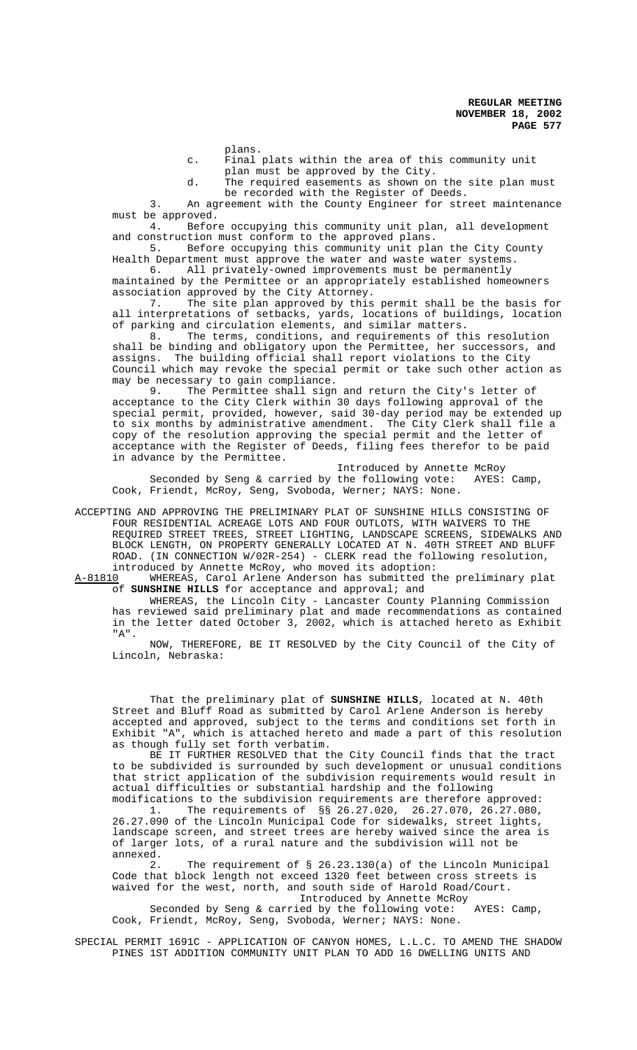plans.

c. Final plats within the area of this community unit plan must be approved by the City.

d. The required easements as shown on the site plan must be recorded with the Register of Deeds.

3. An agreement with the County Engineer for street maintenance must be approved.

4. Before occupying this community unit plan, all development and construction must conform to the approved plans.<br>5. Before occupying this community unit pla

Before occupying this community unit plan the City County Health Department must approve the water and waste water systems.<br>6. All privately-owned improvements must be permanently

All privately-owned improvements must be permanently maintained by the Permittee or an appropriately established homeowners association approved by the City Attorney.

7. The site plan approved by this permit shall be the basis for all interpretations of setbacks, yards, locations of buildings, location of parking and circulation elements, and similar matters.<br>8. The terms, conditions, and requirements of th

The terms, conditions, and requirements of this resolution shall be binding and obligatory upon the Permittee, her successors, and assigns. The building official shall report violations to the City Council which may revoke the special permit or take such other action as may be necessary to gain compliance.

9. The Permittee shall sign and return the City's letter of acceptance to the City Clerk within 30 days following approval of the special permit, provided, however, said 30-day period may be extended up to six months by administrative amendment. The City Clerk shall file a copy of the resolution approving the special permit and the letter of acceptance with the Register of Deeds, filing fees therefor to be paid in advance by the Permittee.

Introduced by Annette McRoy Seconded by Seng & carried by the following vote: AYES: Camp, Cook, Friendt, McRoy, Seng, Svoboda, Werner; NAYS: None.

ACCEPTING AND APPROVING THE PRELIMINARY PLAT OF SUNSHINE HILLS CONSISTING OF FOUR RESIDENTIAL ACREAGE LOTS AND FOUR OUTLOTS, WITH WAIVERS TO THE REQUIRED STREET TREES, STREET LIGHTING, LANDSCAPE SCREENS, SIDEWALKS AND BLOCK LENGTH, ON PROPERTY GENERALLY LOCATED AT N. 40TH STREET AND BLUFF ROAD. (IN CONNECTION W/02R-254) - CLERK read the following resolution, introduced by Annette McRoy, who moved its adoption:<br>A-81810 WHEREAS, Carol Arlene Anderson has submitted t

WHEREAS, Carol Arlene Anderson has submitted the preliminary plat of **SUNSHINE HILLS** for acceptance and approval; and

WHEREAS, the Lincoln City - Lancaster County Planning Commission has reviewed said preliminary plat and made recommendations as contained in the letter dated October 3, 2002, which is attached hereto as Exhibit "A".

NOW, THEREFORE, BE IT RESOLVED by the City Council of the City of Lincoln, Nebraska:

That the preliminary plat of **SUNSHINE HILLS**, located at N. 40th Street and Bluff Road as submitted by Carol Arlene Anderson is hereby accepted and approved, subject to the terms and conditions set forth in Exhibit "A", which is attached hereto and made a part of this resolution as though fully set forth verbatim.

BE IT FURTHER RESOLVED that the City Council finds that the tract to be subdivided is surrounded by such development or unusual conditions that strict application of the subdivision requirements would result in actual difficulties or substantial hardship and the following modifications to the subdivision requirements are therefore approved:

1. The requirements of §§ 26.27.020, 26.27.070, 26.27.080, 26.27.090 of the Lincoln Municipal Code for sidewalks, street lights, landscape screen, and street trees are hereby waived since the area is of larger lots, of a rural nature and the subdivision will not be annexed.

2. The requirement of § 26.23.130(a) of the Lincoln Municipal Code that block length not exceed 1320 feet between cross streets is waived for the west, north, and south side of Harold Road/Court.

Introduced by Annette McRoy

Seconded by Seng & carried by the following vote: AYES: Camp, Cook, Friendt, McRoy, Seng, Svoboda, Werner; NAYS: None.

SPECIAL PERMIT 1691C - APPLICATION OF CANYON HOMES, L.L.C. TO AMEND THE SHADOW PINES 1ST ADDITION COMMUNITY UNIT PLAN TO ADD 16 DWELLING UNITS AND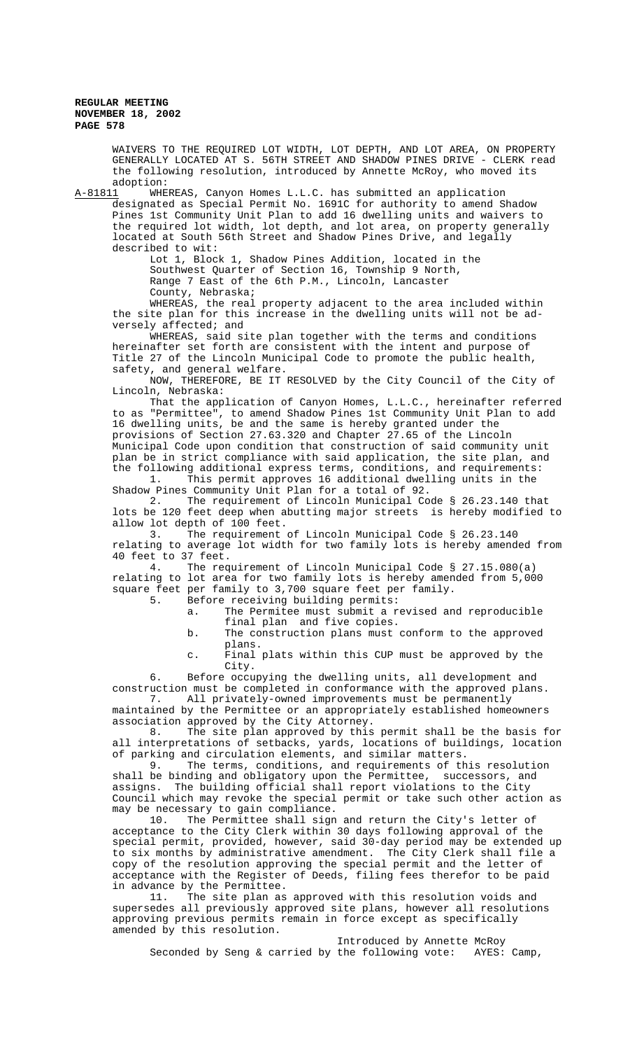WAIVERS TO THE REQUIRED LOT WIDTH, LOT DEPTH, AND LOT AREA, ON PROPERTY GENERALLY LOCATED AT S. 56TH STREET AND SHADOW PINES DRIVE - CLERK read the following resolution, introduced by Annette McRoy, who moved its

adoption:<br><u>A-81811</u> WHE WHEREAS, Canyon Homes L.L.C. has submitted an application designated as Special Permit No. 1691C for authority to amend Shadow Pines 1st Community Unit Plan to add 16 dwelling units and waivers to the required lot width, lot depth, and lot area, on property generally located at South 56th Street and Shadow Pines Drive, and legally described to wit:

Lot 1, Block 1, Shadow Pines Addition, located in the Southwest Quarter of Section 16, Township 9 North, Range 7 East of the 6th P.M., Lincoln, Lancaster County, Nebraska;

WHEREAS, the real property adjacent to the area included within the site plan for this increase in the dwelling units will not be adversely affected; and

WHEREAS, said site plan together with the terms and conditions hereinafter set forth are consistent with the intent and purpose of Title 27 of the Lincoln Municipal Code to promote the public health, safety, and general welfare.

NOW, THEREFORE, BE IT RESOLVED by the City Council of the City of Lincoln, Nebraska:

That the application of Canyon Homes, L.L.C., hereinafter referred to as "Permittee", to amend Shadow Pines 1st Community Unit Plan to add 16 dwelling units, be and the same is hereby granted under the provisions of Section 27.63.320 and Chapter 27.65 of the Lincoln Municipal Code upon condition that construction of said community unit plan be in strict compliance with said application, the site plan, and the following additional express terms, conditions, and requirements:

1. This permit approves 16 additional dwelling units in the Shadow Pines Community Unit Plan for a total of 92.

2. The requirement of Lincoln Municipal Code § 26.23.140 that lots be 120 feet deep when abutting major streets is hereby modified to allow lot depth of 100 feet.<br>3. The requirement

The requirement of Lincoln Municipal Code § 26.23.140 relating to average lot width for two family lots is hereby amended from 40 feet to 37 feet.<br>4. The reg

The requirement of Lincoln Municipal Code § 27.15.080(a) relating to lot area for two family lots is hereby amended from 5,000 square feet per family to 3,700 square feet per family.<br>5. Before receiving building permits:

5. Before receiving building permits:

a. The Permitee must submit a revised and reproducible final plan and five copies.

- b. The construction plans must conform to the approved plans.
- c. Final plats within this CUP must be approved by the City.

6. Before occupying the dwelling units, all development and construction must be completed in conformance with the approved plans. 7. All privately-owned improvements must be permanently maintained by the Permittee or an appropriately established homeowners

association approved by the City Attorney. 8. The site plan approved by this permit shall be the basis for

all interpretations of setbacks, yards, locations of buildings, location of parking and circulation elements, and similar matters.<br>9. The terms. conditions, and requirements of the The terms, conditions, and requirements of this resolution

shall be binding and obligatory upon the Permittee, successors, and assigns. The building official shall report violations to the City Council which may revoke the special permit or take such other action as may be necessary to gain compliance.<br>10. The Permittee shall sign

The Permittee shall sign and return the City's letter of acceptance to the City Clerk within 30 days following approval of the special permit, provided, however, said 30-day period may be extended up to six months by administrative amendment. The City Clerk shall file a copy of the resolution approving the special permit and the letter of acceptance with the Register of Deeds, filing fees therefor to be paid in advance by the Permittee.

11. The site plan as approved with this resolution voids and supersedes all previously approved site plans, however all resolutions approving previous permits remain in force except as specifically amended by this resolution.

Introduced by Annette McRoy Seconded by Seng & carried by the following vote: AYES: Camp,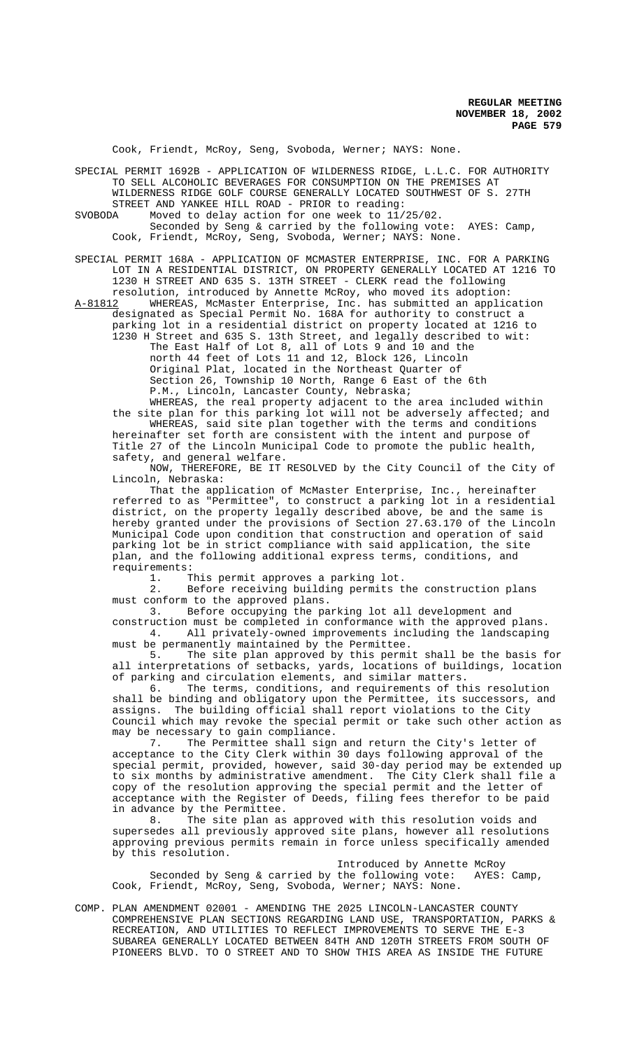Cook, Friendt, McRoy, Seng, Svoboda, Werner; NAYS: None.

SPECIAL PERMIT 1692B - APPLICATION OF WILDERNESS RIDGE, L.L.C. FOR AUTHORITY TO SELL ALCOHOLIC BEVERAGES FOR CONSUMPTION ON THE PREMISES AT WILDERNESS RIDGE GOLF COURSE GENERALLY LOCATED SOUTHWEST OF S. 27TH

STREET AND YANKEE HILL ROAD - PRIOR to reading:

SVOBODA Moved to delay action for one week to 11/25/02. Seconded by Seng & carried by the following vote: AYES: Camp, Cook, Friendt, McRoy, Seng, Svoboda, Werner; NAYS: None.

SPECIAL PERMIT 168A - APPLICATION OF MCMASTER ENTERPRISE, INC. FOR A PARKING LOT IN A RESIDENTIAL DISTRICT, ON PROPERTY GENERALLY LOCATED AT 1216 TO 1230 H STREET AND 635 S. 13TH STREET - CLERK read the following

resolution, introduced by Annette McRoy, who moved its adoption: A-81812 WHEREAS, McMaster Enterprise, Inc. has submitted an application designated as Special Permit No. 168A for authority to construct a parking lot in a residential district on property located at 1216 to

1230 H Street and 635 S. 13th Street, and legally described to wit: The East Half of Lot 8, all of Lots 9 and 10 and the north 44 feet of Lots 11 and 12, Block 126, Lincoln Original Plat, located in the Northeast Quarter of Section 26, Township 10 North, Range 6 East of the 6th P.M., Lincoln, Lancaster County, Nebraska; WHEREAS, the real property adjacent to the area included within

the site plan for this parking lot will not be adversely affected; and WHEREAS, said site plan together with the terms and conditions hereinafter set forth are consistent with the intent and purpose of Title 27 of the Lincoln Municipal Code to promote the public health, safety, and general welfare.

NOW, THEREFORE, BE IT RESOLVED by the City Council of the City of Lincoln, Nebraska:

That the application of McMaster Enterprise, Inc., hereinafter referred to as "Permittee", to construct a parking lot in a residential district, on the property legally described above, be and the same is hereby granted under the provisions of Section 27.63.170 of the Lincoln Municipal Code upon condition that construction and operation of said parking lot be in strict compliance with said application, the site plan, and the following additional express terms, conditions, and requirements:

1. This permit approves a parking lot.

2. Before receiving building permits the construction plans must conform to the approved plans.

3. Before occupying the parking lot all development and construction must be completed in conformance with the approved plans. 4. All privately-owned improvements including the landscaping must be permanently maintained by the Permittee.

5. The site plan approved by this permit shall be the basis for all interpretations of setbacks, yards, locations of buildings, location of parking and circulation elements, and similar matters.<br>6. The terms, conditions, and requirements of the

The terms, conditions, and requirements of this resolution shall be binding and obligatory upon the Permittee, its successors, and assigns. The building official shall report violations to the City Council which may revoke the special permit or take such other action as may be necessary to gain compliance.

7. The Permittee shall sign and return the City's letter of acceptance to the City Clerk within 30 days following approval of the special permit, provided, however, said 30-day period may be extended up to six months by administrative amendment. The City Clerk shall file a copy of the resolution approving the special permit and the letter of acceptance with the Register of Deeds, filing fees therefor to be paid in advance by the Permittee.

8. The site plan as approved with this resolution voids and supersedes all previously approved site plans, however all resolutions approving previous permits remain in force unless specifically amended by this resolution.

Introduced by Annette McRoy Seconded by Seng & carried by the following vote: AYES: Camp, Cook, Friendt, McRoy, Seng, Svoboda, Werner; NAYS: None.

COMP. PLAN AMENDMENT 02001 - AMENDING THE 2025 LINCOLN-LANCASTER COUNTY COMPREHENSIVE PLAN SECTIONS REGARDING LAND USE, TRANSPORTATION, PARKS & RECREATION, AND UTILITIES TO REFLECT IMPROVEMENTS TO SERVE THE E-3 SUBAREA GENERALLY LOCATED BETWEEN 84TH AND 120TH STREETS FROM SOUTH OF PIONEERS BLVD. TO O STREET AND TO SHOW THIS AREA AS INSIDE THE FUTURE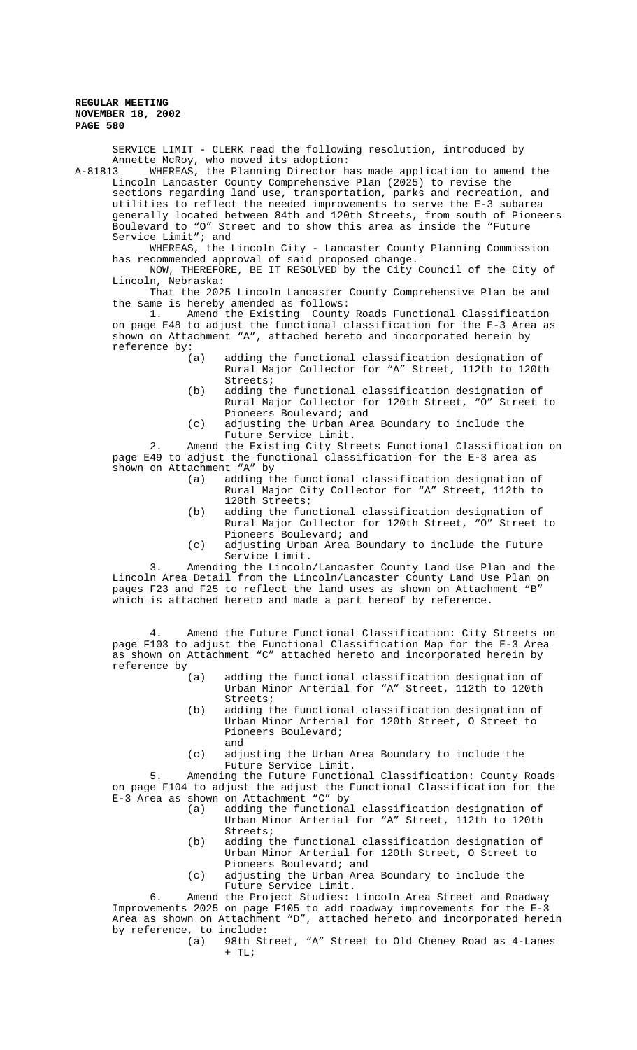SERVICE LIMIT - CLERK read the following resolution, introduced by Annette McRoy, who moved its adoption:<br>A-81813 WHEREAS, the Planning Director h

WHEREAS, the Planning Director has made application to amend the Lincoln Lancaster County Comprehensive Plan (2025) to revise the sections regarding land use, transportation, parks and recreation, and utilities to reflect the needed improvements to serve the E-3 subarea generally located between 84th and 120th Streets, from south of Pioneers Boulevard to "O" Street and to show this area as inside the "Future Service Limit"; and

WHEREAS, the Lincoln City - Lancaster County Planning Commission has recommended approval of said proposed change.

NOW, THEREFORE, BE IT RESOLVED by the City Council of the City of Lincoln, Nebraska:

That the 2025 Lincoln Lancaster County Comprehensive Plan be and the same is hereby amended as follows:

1. Amend the Existing County Roads Functional Classification on page E48 to adjust the functional classification for the E-3 Area as shown on Attachment "A", attached hereto and incorporated herein by reference by:

- (a) adding the functional classification designation of Rural Major Collector for "A" Street, 112th to 120th Streets;
- (b) adding the functional classification designation of Rural Major Collector for 120th Street, "O" Street to Pioneers Boulevard; and
- (c) adjusting the Urban Area Boundary to include the Future Service Limit.

2. Amend the Existing City Streets Functional Classification on page E49 to adjust the functional classification for the E-3 area as shown on Attachment "A" by

- (a) adding the functional classification designation of Rural Major City Collector for "A" Street, 112th to 120th Streets;
- (b) adding the functional classification designation of Rural Major Collector for 120th Street, "O" Street to Pioneers Boulevard; and
- (c) adjusting Urban Area Boundary to include the Future Service Limit.

3. Amending the Lincoln/Lancaster County Land Use Plan and the Lincoln Area Detail from the Lincoln/Lancaster County Land Use Plan on pages F23 and F25 to reflect the land uses as shown on Attachment "B" which is attached hereto and made a part hereof by reference.

4. Amend the Future Functional Classification: City Streets on page F103 to adjust the Functional Classification Map for the E-3 Area as shown on Attachment "C" attached hereto and incorporated herein by reference by

- (a) adding the functional classification designation of Urban Minor Arterial for "A" Street, 112th to 120th Streets;
- (b) adding the functional classification designation of Urban Minor Arterial for 120th Street, O Street to Pioneers Boulevard; and
- (c) adjusting the Urban Area Boundary to include the Future Service Limit.

5. Amending the Future Functional Classification: County Roads on page F104 to adjust the adjust the Functional Classification for the E-3 Area as shown on Attachment "C" by

- (a) adding the functional classification designation of Urban Minor Arterial for "A" Street, 112th to 120th Streets;
- (b) adding the functional classification designation of Urban Minor Arterial for 120th Street, O Street to Pioneers Boulevard; and
- (c) adjusting the Urban Area Boundary to include the Future Service Limit.

6. Amend the Project Studies: Lincoln Area Street and Roadway Improvements 2025 on page F105 to add roadway improvements for the E-3 Area as shown on Attachment "D", attached hereto and incorporated herein by reference, to include:<br>(a) 98th St:

98th Street, "A" Street to Old Cheney Road as 4-Lanes  $+$  TL;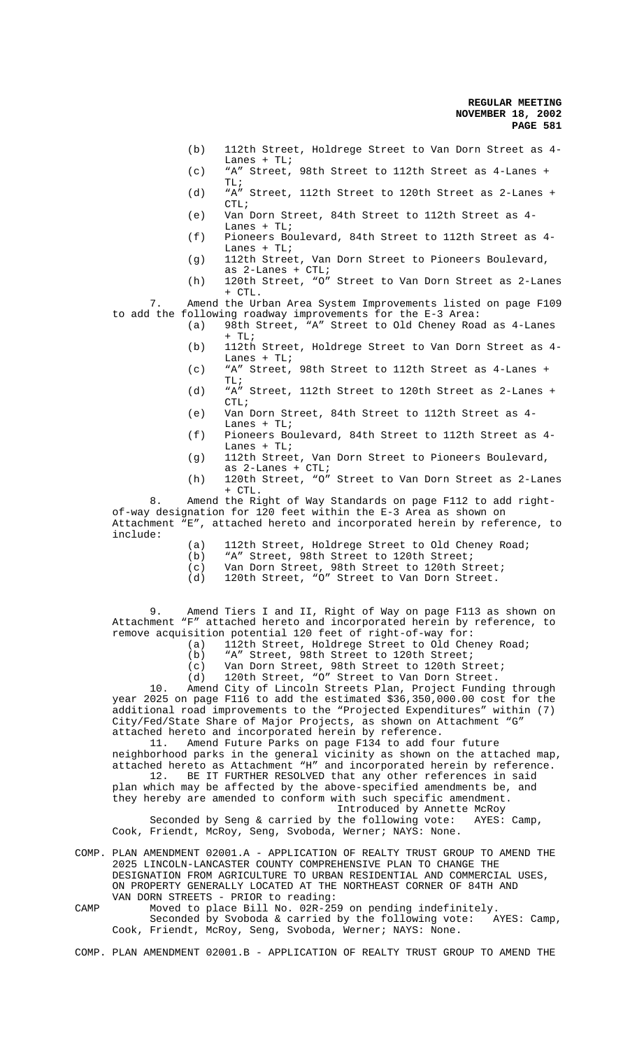- (b) 112th Street, Holdrege Street to Van Dorn Street as 4- Lanes + TL;
- (c) "A" Street, 98th Street to 112th Street as 4-Lanes + TL;
- (d) "A" Street, 112th Street to 120th Street as 2-Lanes +  $CTL$ ;
- (e) Van Dorn Street, 84th Street to 112th Street as 4- Lanes + TL;
- (f) Pioneers Boulevard, 84th Street to 112th Street as 4- Lanes + TL;
- (g) 112th Street, Van Dorn Street to Pioneers Boulevard, as 2-Lanes + CTL;
- (h) 120th Street, "O" Street to Van Dorn Street as 2-Lanes + CTL.

7. Amend the Urban Area System Improvements listed on page F109 to add the following roadway improvements for the E-3 Area:

- (a) 98th Street, "A" Street to Old Cheney Road as 4-Lanes  $+$  TL;
- (b) 112th Street, Holdrege Street to Van Dorn Street as 4- Lanes  $+$  TL;
- (c) "A" Street, 98th Street to 112th Street as 4-Lanes +  $TT, i$
- (d) "A" Street, 112th Street to 120th Street as 2-Lanes + CTL;
- (e) Van Dorn Street, 84th Street to 112th Street as 4- Lanes  $+$  TL;
- (f) Pioneers Boulevard, 84th Street to 112th Street as 4- Lanes  $+TLi$
- (g) 112th Street, Van Dorn Street to Pioneers Boulevard, as 2-Lanes + CTL;
- (h) 120th Street, "O" Street to Van Dorn Street as 2-Lanes + CTL.

8. Amend the Right of Way Standards on page F112 to add rightof-way designation for 120 feet within the E-3 Area as shown on Attachment "E", attached hereto and incorporated herein by reference, to include:

- (a) 112th Street, Holdrege Street to Old Cheney Road;<br>(b) "A" Street, 98th Street to 120th Street;
- (b) "A" Street, 98th Street to 120th Street;<br>(c) Van Dorn Street, 98th Street to 120th St:
- (c) Van Dorn Street, 98th Street to 120th Street;
- (d) 120th Street, "O" Street to Van Dorn Street.

9. Amend Tiers I and II, Right of Way on page F113 as shown on Attachment "F" attached hereto and incorporated herein by reference, to remove acquisition potential 120 feet of right-of-way for:

- (a) 112th Street, Holdrege Street to Old Cheney Road;
- (b) "A" Street, 98th Street to 120th Street;
- (c) Van Dorn Street, 98th Street to 120th Street; (d) 120th Street, "O" Street to Van Dorn Street.

10. Amend City of Lincoln Streets Plan, Project Funding through year 2025 on page F116 to add the estimated \$36,350,000.00 cost for the additional road improvements to the "Projected Expenditures" within (7) City/Fed/State Share of Major Projects, as shown on Attachment "G" attached hereto and incorporated herein by reference.

11. Amend Future Parks on page F134 to add four future neighborhood parks in the general vicinity as shown on the attached map, attached hereto as Attachment "H" and incorporated herein by reference. 12. BE IT FURTHER RESOLVED that any other references in said

plan which may be affected by the above-specified amendments be, and they hereby are amended to conform with such specific amendment. Introduced by Annette McRoy<br>the following vote: AYES: Camp.

Seconded by Seng & carried by the following vote: Cook, Friendt, McRoy, Seng, Svoboda, Werner; NAYS: None.

COMP. PLAN AMENDMENT 02001.A - APPLICATION OF REALTY TRUST GROUP TO AMEND THE 2025 LINCOLN-LANCASTER COUNTY COMPREHENSIVE PLAN TO CHANGE THE DESIGNATION FROM AGRICULTURE TO URBAN RESIDENTIAL AND COMMERCIAL USES, ON PROPERTY GENERALLY LOCATED AT THE NORTHEAST CORNER OF 84TH AND VAN DORN STREETS - PRIOR to reading:

CAMP Moved to place Bill No. 02R-259 on pending indefinitely. Seconded by Svoboda & carried by the following vote: AYES: Camp, Cook, Friendt, McRoy, Seng, Svoboda, Werner; NAYS: None.

COMP. PLAN AMENDMENT 02001.B - APPLICATION OF REALTY TRUST GROUP TO AMEND THE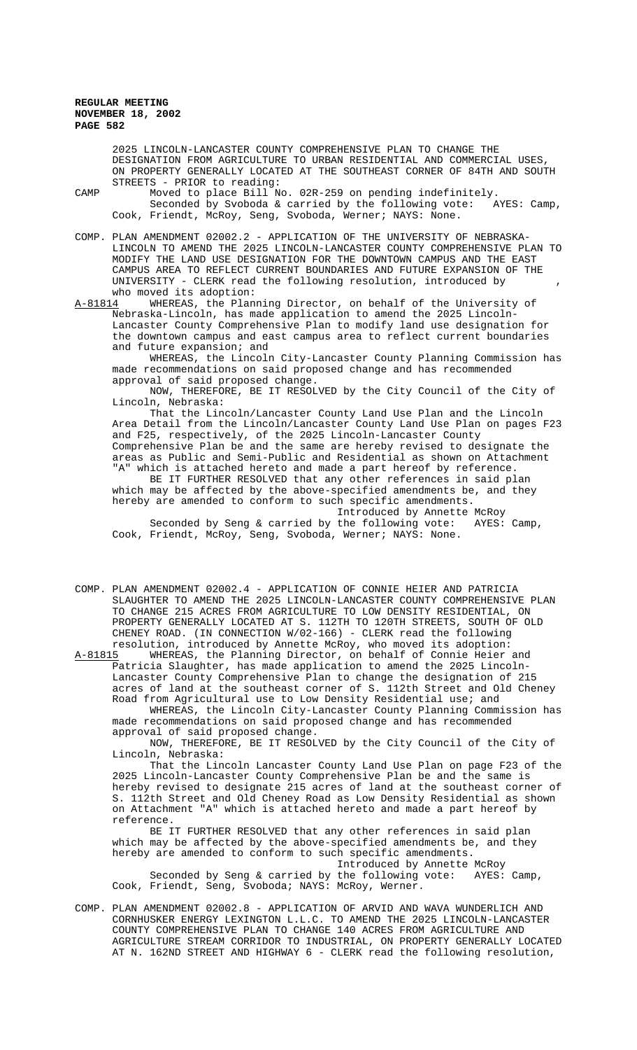> 2025 LINCOLN-LANCASTER COUNTY COMPREHENSIVE PLAN TO CHANGE THE DESIGNATION FROM AGRICULTURE TO URBAN RESIDENTIAL AND COMMERCIAL USES, ON PROPERTY GENERALLY LOCATED AT THE SOUTHEAST CORNER OF 84TH AND SOUTH STREETS - PRIOR to reading:

CAMP Moved to place Bill No. 02R-259 on pending indefinitely.<br>Seconded by Svoboda & carried by the following vote: AYES: Camp, Seconded by Svoboda & carried by the following vote: Cook, Friendt, McRoy, Seng, Svoboda, Werner; NAYS: None.

COMP. PLAN AMENDMENT 02002.2 - APPLICATION OF THE UNIVERSITY OF NEBRASKA-LINCOLN TO AMEND THE 2025 LINCOLN-LANCASTER COUNTY COMPREHENSIVE PLAN TO MODIFY THE LAND USE DESIGNATION FOR THE DOWNTOWN CAMPUS AND THE EAST CAMPUS AREA TO REFLECT CURRENT BOUNDARIES AND FUTURE EXPANSION OF THE UNIVERSITY - CLERK read the following resolution, introduced by , who moved its adoption:

A-81814 WHEREAS, the Planning Director, on behalf of the University of Nebraska-Lincoln, has made application to amend the 2025 Lincoln-Lancaster County Comprehensive Plan to modify land use designation for the downtown campus and east campus area to reflect current boundaries and future expansion; and

WHEREAS, the Lincoln City-Lancaster County Planning Commission has made recommendations on said proposed change and has recommended approval of said proposed change.

NOW, THEREFORE, BE IT RESOLVED by the City Council of the City of Lincoln, Nebraska:

That the Lincoln/Lancaster County Land Use Plan and the Lincoln Area Detail from the Lincoln/Lancaster County Land Use Plan on pages F23 and F25, respectively, of the 2025 Lincoln-Lancaster County Comprehensive Plan be and the same are hereby revised to designate the areas as Public and Semi-Public and Residential as shown on Attachment "A" which is attached hereto and made a part hereof by reference.

BE IT FURTHER RESOLVED that any other references in said plan which may be affected by the above-specified amendments be, and they hereby are amended to conform to such specific amendments.

Introduced by Annette McRoy<br>the following vote: AYES: Camp, Seconded by Seng & carried by the following vote: Cook, Friendt, McRoy, Seng, Svoboda, Werner; NAYS: None.

COMP. PLAN AMENDMENT 02002.4 - APPLICATION OF CONNIE HEIER AND PATRICIA SLAUGHTER TO AMEND THE 2025 LINCOLN-LANCASTER COUNTY COMPREHENSIVE PLAN TO CHANGE 215 ACRES FROM AGRICULTURE TO LOW DENSITY RESIDENTIAL, ON PROPERTY GENERALLY LOCATED AT S. 112TH TO 120TH STREETS, SOUTH OF OLD CHENEY ROAD. (IN CONNECTION W/02-166) - CLERK read the following

resolution, introduced by Annette McRoy, who moved its adoption:<br>A-81815 WHEREAS, the Planning Director, on behalf of Connie Heier WHEREAS, the Planning Director, on behalf of Connie Heier and Patricia Slaughter, has made application to amend the 2025 Lincoln-Lancaster County Comprehensive Plan to change the designation of 215 acres of land at the southeast corner of S. 112th Street and Old Cheney Road from Agricultural use to Low Density Residential use; and

WHEREAS, the Lincoln City-Lancaster County Planning Commission has made recommendations on said proposed change and has recommended approval of said proposed change.

NOW, THEREFORE, BE IT RESOLVED by the City Council of the City of Lincoln, Nebraska:

That the Lincoln Lancaster County Land Use Plan on page F23 of the 2025 Lincoln-Lancaster County Comprehensive Plan be and the same is hereby revised to designate 215 acres of land at the southeast corner of S. 112th Street and Old Cheney Road as Low Density Residential as shown on Attachment "A" which is attached hereto and made a part hereof by reference.

BE IT FURTHER RESOLVED that any other references in said plan which may be affected by the above-specified amendments be, and they hereby are amended to conform to such specific amendments. Introduced by Annette McRoy

Seconded by Seng & carried by the following vote: AYES: Camp, Cook, Friendt, Seng, Svoboda; NAYS: McRoy, Werner.

COMP. PLAN AMENDMENT 02002.8 - APPLICATION OF ARVID AND WAVA WUNDERLICH AND CORNHUSKER ENERGY LEXINGTON L.L.C. TO AMEND THE 2025 LINCOLN-LANCASTER COUNTY COMPREHENSIVE PLAN TO CHANGE 140 ACRES FROM AGRICULTURE AND AGRICULTURE STREAM CORRIDOR TO INDUSTRIAL, ON PROPERTY GENERALLY LOCATED AT N. 162ND STREET AND HIGHWAY 6 - CLERK read the following resolution,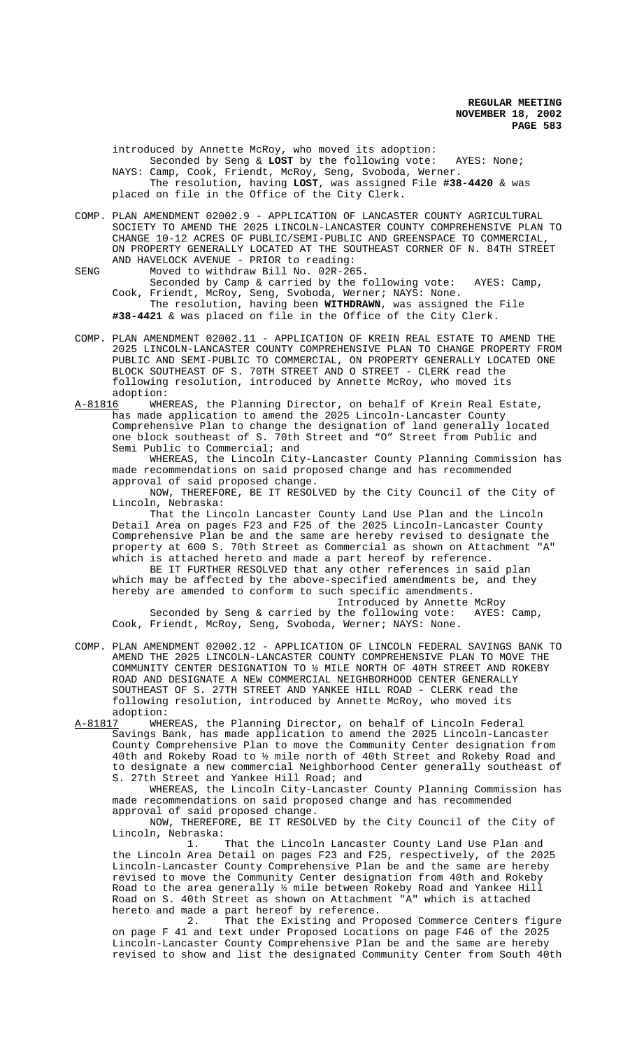introduced by Annette McRoy, who moved its adoption: Seconded by Seng & **LOST** by the following vote: AYES: None; NAYS: Camp, Cook, Friendt, McRoy, Seng, Svoboda, Werner. The resolution, having **LOST**, was assigned File **#38-4420** & was placed on file in the Office of the City Clerk.

COMP. PLAN AMENDMENT 02002.9 - APPLICATION OF LANCASTER COUNTY AGRICULTURAL SOCIETY TO AMEND THE 2025 LINCOLN-LANCASTER COUNTY COMPREHENSIVE PLAN TO CHANGE 10-12 ACRES OF PUBLIC/SEMI-PUBLIC AND GREENSPACE TO COMMERCIAL, ON PROPERTY GENERALLY LOCATED AT THE SOUTHEAST CORNER OF N. 84TH STREET AND HAVELOCK AVENUE - PRIOR to reading:

SENG Moved to withdraw Bill No. 02R-265. Seconded by Camp & carried by the following vote: AYES: Camp, Cook, Friendt, McRoy, Seng, Svoboda, Werner; NAYS: None. The resolution, having been **WITHDRAWN**, was assigned the File **#38-4421** & was placed on file in the Office of the City Clerk.

- COMP. PLAN AMENDMENT 02002.11 APPLICATION OF KREIN REAL ESTATE TO AMEND THE 2025 LINCOLN-LANCASTER COUNTY COMPREHENSIVE PLAN TO CHANGE PROPERTY FROM PUBLIC AND SEMI-PUBLIC TO COMMERCIAL, ON PROPERTY GENERALLY LOCATED ONE BLOCK SOUTHEAST OF S. 70TH STREET AND O STREET - CLERK read the following resolution, introduced by Annette McRoy, who moved its adoption:
- A-81816 WHEREAS, the Planning Director, on behalf of Krein Real Estate, has made application to amend the 2025 Lincoln-Lancaster County Comprehensive Plan to change the designation of land generally located one block southeast of S. 70th Street and "O" Street from Public and Semi Public to Commercial; and

WHEREAS, the Lincoln City-Lancaster County Planning Commission has made recommendations on said proposed change and has recommended approval of said proposed change.

NOW, THEREFORE, BE IT RESOLVED by the City Council of the City of Lincoln, Nebraska:

That the Lincoln Lancaster County Land Use Plan and the Lincoln Detail Area on pages F23 and F25 of the 2025 Lincoln-Lancaster County Comprehensive Plan be and the same are hereby revised to designate the property at 600 S. 70th Street as Commercial as shown on Attachment "A" which is attached hereto and made a part hereof by reference.

BE IT FURTHER RESOLVED that any other references in said plan which may be affected by the above-specified amendments be, and they hereby are amended to conform to such specific amendments.

Introduced by Annette McRoy<br>the following vote: AYES: Camp, Seconded by Seng & carried by the following vote: Cook, Friendt, McRoy, Seng, Svoboda, Werner; NAYS: None.

COMP. PLAN AMENDMENT 02002.12 - APPLICATION OF LINCOLN FEDERAL SAVINGS BANK TO AMEND THE 2025 LINCOLN-LANCASTER COUNTY COMPREHENSIVE PLAN TO MOVE THE COMMUNITY CENTER DESIGNATION TO ½ MILE NORTH OF 40TH STREET AND ROKEBY ROAD AND DESIGNATE A NEW COMMERCIAL NEIGHBORHOOD CENTER GENERALLY SOUTHEAST OF S. 27TH STREET AND YANKEE HILL ROAD - CLERK read the following resolution, introduced by Annette McRoy, who moved its

adoption:<br>A-<u>81817</u> WHE WHEREAS, the Planning Director, on behalf of Lincoln Federal Savings Bank, has made application to amend the 2025 Lincoln-Lancaster County Comprehensive Plan to move the Community Center designation from 40th and Rokeby Road to ½ mile north of 40th Street and Rokeby Road and to designate a new commercial Neighborhood Center generally southeast of S. 27th Street and Yankee Hill Road; and

WHEREAS, the Lincoln City-Lancaster County Planning Commission has made recommendations on said proposed change and has recommended approval of said proposed change.

NOW, THEREFORE, BE IT RESOLVED by the City Council of the City of Lincoln, Nebraska:

1. That the Lincoln Lancaster County Land Use Plan and the Lincoln Area Detail on pages F23 and F25, respectively, of the 2025 Lincoln-Lancaster County Comprehensive Plan be and the same are hereby revised to move the Community Center designation from 40th and Rokeby Road to the area generally ½ mile between Rokeby Road and Yankee Hill Road on S. 40th Street as shown on Attachment "A" which is attached hereto and made a part hereof by reference.

2. That the Existing and Proposed Commerce Centers figure on page F 41 and text under Proposed Locations on page F46 of the 2025 Lincoln-Lancaster County Comprehensive Plan be and the same are hereby revised to show and list the designated Community Center from South 40th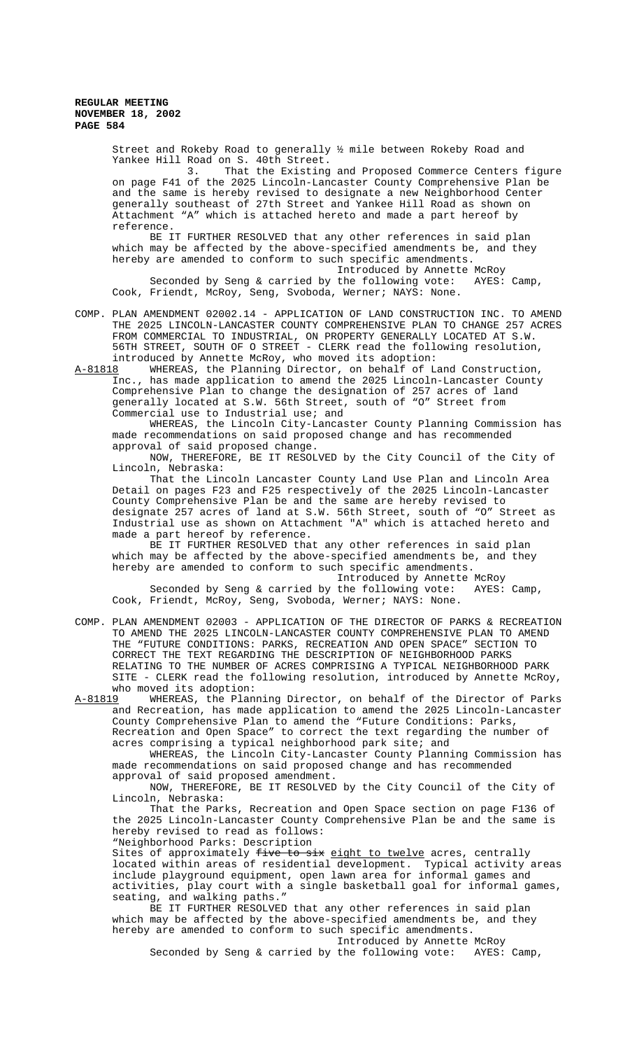Street and Rokeby Road to generally ½ mile between Rokeby Road and Yankee Hill Road on S. 40th Street.<br>3. That the Existing

That the Existing and Proposed Commerce Centers figure on page F41 of the 2025 Lincoln-Lancaster County Comprehensive Plan be and the same is hereby revised to designate a new Neighborhood Center generally southeast of 27th Street and Yankee Hill Road as shown on Attachment "A" which is attached hereto and made a part hereof by reference.

BE IT FURTHER RESOLVED that any other references in said plan which may be affected by the above-specified amendments be, and they hereby are amended to conform to such specific amendments.

Introduced by Annette McRoy Seconded by Seng & carried by the following vote: AYES: Camp, Cook, Friendt, McRoy, Seng, Svoboda, Werner; NAYS: None.

COMP. PLAN AMENDMENT 02002.14 - APPLICATION OF LAND CONSTRUCTION INC. TO AMEND THE 2025 LINCOLN-LANCASTER COUNTY COMPREHENSIVE PLAN TO CHANGE 257 ACRES FROM COMMERCIAL TO INDUSTRIAL, ON PROPERTY GENERALLY LOCATED AT S.W. 56TH STREET, SOUTH OF O STREET - CLERK read the following resolution, introduced by Annette McRoy, who moved its adoption:

A-81818 WHEREAS, the Planning Director, on behalf of Land Construction, Inc., has made application to amend the 2025 Lincoln-Lancaster County Comprehensive Plan to change the designation of 257 acres of land generally located at S.W. 56th Street, south of "O" Street from Commercial use to Industrial use; and

WHEREAS, the Lincoln City-Lancaster County Planning Commission has made recommendations on said proposed change and has recommended approval of said proposed change.

NOW, THEREFORE, BE IT RESOLVED by the City Council of the City of Lincoln, Nebraska:

That the Lincoln Lancaster County Land Use Plan and Lincoln Area Detail on pages F23 and F25 respectively of the 2025 Lincoln-Lancaster County Comprehensive Plan be and the same are hereby revised to designate 257 acres of land at S.W. 56th Street, south of "O" Street as Industrial use as shown on Attachment "A" which is attached hereto and made a part hereof by reference.

BE IT FURTHER RESOLVED that any other references in said plan which may be affected by the above-specified amendments be, and they hereby are amended to conform to such specific amendments.

Introduced by Annette McRoy Seconded by Seng & carried by the following vote: AYES: Camp, Cook, Friendt, McRoy, Seng, Svoboda, Werner; NAYS: None.

COMP. PLAN AMENDMENT 02003 - APPLICATION OF THE DIRECTOR OF PARKS & RECREATION TO AMEND THE 2025 LINCOLN-LANCASTER COUNTY COMPREHENSIVE PLAN TO AMEND THE "FUTURE CONDITIONS: PARKS, RECREATION AND OPEN SPACE" SECTION TO CORRECT THE TEXT REGARDING THE DESCRIPTION OF NEIGHBORHOOD PARKS RELATING TO THE NUMBER OF ACRES COMPRISING A TYPICAL NEIGHBORHOOD PARK SITE - CLERK read the following resolution, introduced by Annette McRoy, who moved its adoption:<br>A-81819 WHEREAS, the Plan:

WHEREAS, the Planning Director, on behalf of the Director of Parks and Recreation, has made application to amend the 2025 Lincoln-Lancaster County Comprehensive Plan to amend the "Future Conditions: Parks, Recreation and Open Space" to correct the text regarding the number of acres comprising a typical neighborhood park site; and

WHEREAS, the Lincoln City-Lancaster County Planning Commission has made recommendations on said proposed change and has recommended approval of said proposed amendment.

NOW, THEREFORE, BE IT RESOLVED by the City Council of the City of Lincoln, Nebraska:

That the Parks, Recreation and Open Space section on page F136 of the 2025 Lincoln-Lancaster County Comprehensive Plan be and the same is hereby revised to read as follows: "Neighborhood Parks: Description

Sites of approximately five to six eight to twelve acres, centrally located within areas of residential development. Typical activity areas located within areas of residential development. Typical activity areas include playground equipment, open lawn area for informal games and activities, play court with a single basketball goal for informal games, seating, and walking paths."

BE IT FURTHER RESOLVED that any other references in said plan which may be affected by the above-specified amendments be, and they hereby are amended to conform to such specific amendments. Introduced by Annette McRoy

Seconded by Seng & carried by the following vote: AYES: Camp,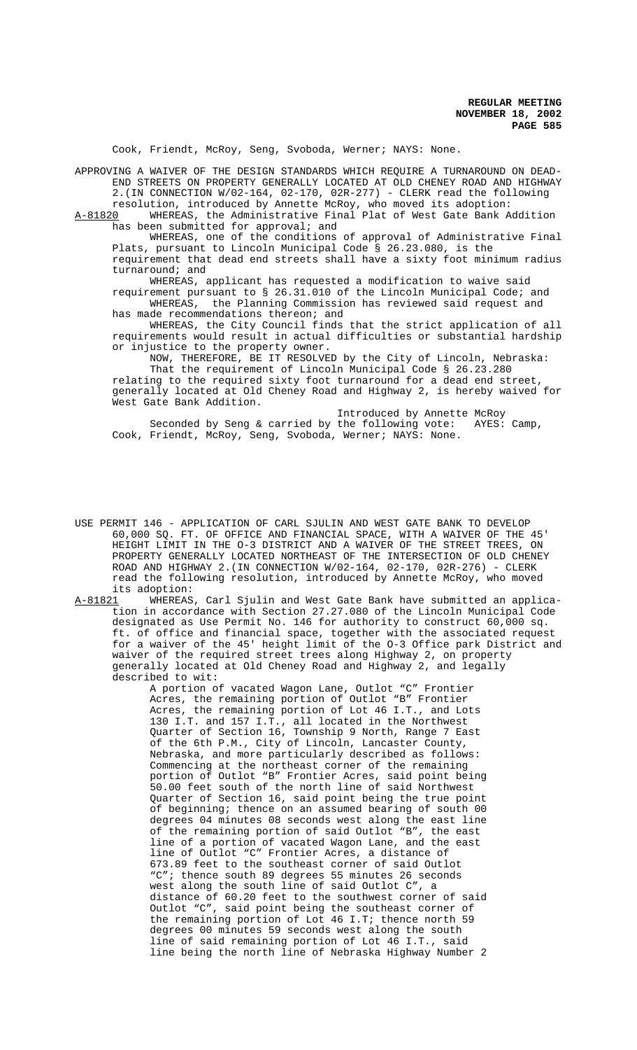Cook, Friendt, McRoy, Seng, Svoboda, Werner; NAYS: None.

APPROVING A WAIVER OF THE DESIGN STANDARDS WHICH REQUIRE A TURNAROUND ON DEAD-END STREETS ON PROPERTY GENERALLY LOCATED AT OLD CHENEY ROAD AND HIGHWAY 2.(IN CONNECTION W/02-164, 02-170, 02R-277) - CLERK read the following

resolution, introduced by Annette McRoy, who moved its adoption: A-81820 WHEREAS, the Administrative Final Plat of West Gate Bank Addition has been submitted for approval; and

WHEREAS, one of the conditions of approval of Administrative Final Plats, pursuant to Lincoln Municipal Code § 26.23.080, is the requirement that dead end streets shall have a sixty foot minimum radius

turnaround; and

WHEREAS, applicant has requested a modification to waive said requirement pursuant to § 26.31.010 of the Lincoln Municipal Code; and WHEREAS, the Planning Commission has reviewed said request and has made recommendations thereon; and

WHEREAS, the City Council finds that the strict application of all requirements would result in actual difficulties or substantial hardship or injustice to the property owner.

NOW, THEREFORE, BE IT RESOLVED by the City of Lincoln, Nebraska: That the requirement of Lincoln Municipal Code § 26.23.280 relating to the required sixty foot turnaround for a dead end street, generally located at Old Cheney Road and Highway 2, is hereby waived for West Gate Bank Addition.

Introduced by Annette McRoy<br>the following vote: AYES: Camp, Seconded by Seng & carried by the following vote: Cook, Friendt, McRoy, Seng, Svoboda, Werner; NAYS: None.

USE PERMIT 146 - APPLICATION OF CARL SJULIN AND WEST GATE BANK TO DEVELOP 60,000 SQ. FT. OF OFFICE AND FINANCIAL SPACE, WITH A WAIVER OF THE 45' HEIGHT LIMIT IN THE O-3 DISTRICT AND A WAIVER OF THE STREET TREES, ON PROPERTY GENERALLY LOCATED NORTHEAST OF THE INTERSECTION OF OLD CHENEY ROAD AND HIGHWAY 2.(IN CONNECTION W/02-164, 02-170, 02R-276) - CLERK read the following resolution, introduced by Annette McRoy, who moved its adoption:

A-81821 WHEREAS, Carl Sjulin and West Gate Bank have submitted an application in accordance with Section 27.27.080 of the Lincoln Municipal Code designated as Use Permit No. 146 for authority to construct 60,000 sq. ft. of office and financial space, together with the associated request for a waiver of the 45' height limit of the O-3 Office park District and waiver of the required street trees along Highway 2, on property generally located at Old Cheney Road and Highway 2, and legally described to wit:

> A portion of vacated Wagon Lane, Outlot "C" Frontier Acres, the remaining portion of Outlot "B" Frontier Acres, the remaining portion of Lot 46 I.T., and Lots 130 I.T. and 157 I.T., all located in the Northwest Quarter of Section 16, Township 9 North, Range 7 East of the 6th P.M., City of Lincoln, Lancaster County, Nebraska, and more particularly described as follows: Commencing at the northeast corner of the remaining portion of Outlot "B" Frontier Acres, said point being 50.00 feet south of the north line of said Northwest Quarter of Section 16, said point being the true point of beginning; thence on an assumed bearing of south 00 degrees 04 minutes 08 seconds west along the east line of the remaining portion of said Outlot "B", the east line of a portion of vacated Wagon Lane, and the east line of Outlot "C" Frontier Acres, a distance of 673.89 feet to the southeast corner of said Outlot "C"; thence south 89 degrees 55 minutes 26 seconds west along the south line of said Outlot C", a distance of 60.20 feet to the southwest corner of said Outlot "C", said point being the southeast corner of the remaining portion of Lot 46 I.T; thence north 59 degrees 00 minutes 59 seconds west along the south line of said remaining portion of Lot 46 I.T., said line being the north line of Nebraska Highway Number 2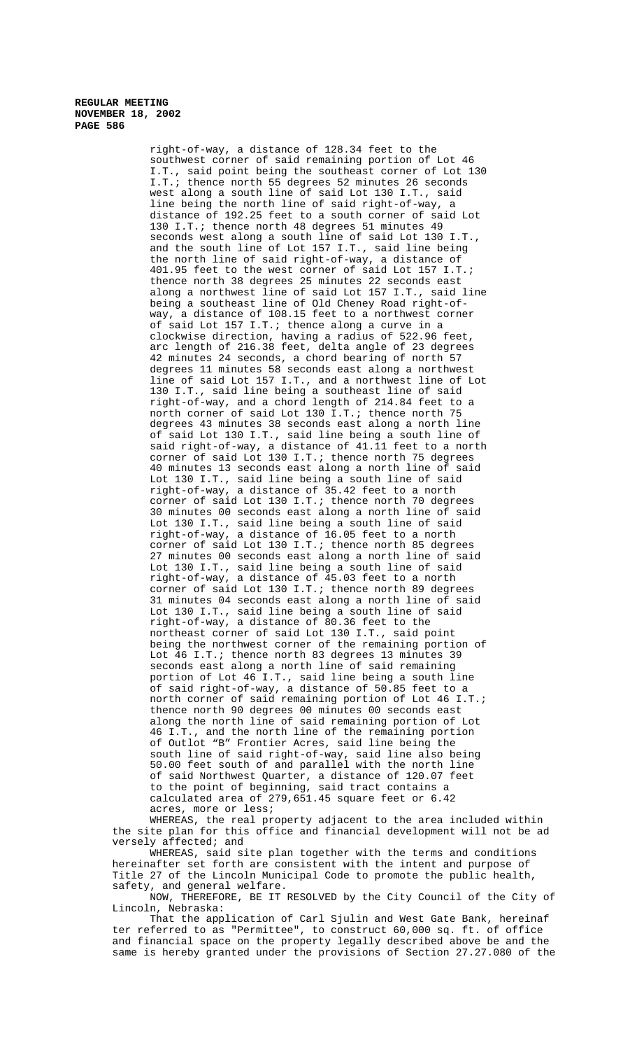right-of-way, a distance of 128.34 feet to the southwest corner of said remaining portion of Lot 46 I.T., said point being the southeast corner of Lot 130 I.T.; thence north 55 degrees 52 minutes 26 seconds west along a south line of said Lot 130 I.T., said line being the north line of said right-of-way, a distance of 192.25 feet to a south corner of said Lot 130 I.T.; thence north 48 degrees 51 minutes 49 seconds west along a south line of said Lot 130 I.T., and the south line of Lot 157 I.T., said line being the north line of said right-of-way, a distance of 401.95 feet to the west corner of said Lot 157 I.T.; thence north 38 degrees 25 minutes 22 seconds east along a northwest line of said Lot 157 I.T., said line being a southeast line of Old Cheney Road right-ofway, a distance of 108.15 feet to a northwest corner of said Lot 157 I.T.; thence along a curve in a clockwise direction, having a radius of 522.96 feet, arc length of 216.38 feet, delta angle of 23 degrees 42 minutes 24 seconds, a chord bearing of north 57 degrees 11 minutes 58 seconds east along a northwest line of said Lot 157 I.T., and a northwest line of Lot 130 I.T., said line being a southeast line of said right-of-way, and a chord length of 214.84 feet to a north corner of said Lot 130 I.T.; thence north 75 degrees 43 minutes 38 seconds east along a north line of said Lot 130 I.T., said line being a south line of said right-of-way, a distance of 41.11 feet to a north corner of said Lot 130 I.T.; thence north 75 degrees 40 minutes 13 seconds east along a north line of said Lot 130 I.T., said line being a south line of said right-of-way, a distance of 35.42 feet to a north corner of said Lot 130 I.T.; thence north 70 degrees 30 minutes 00 seconds east along a north line of said Lot 130 I.T., said line being a south line of said right-of-way, a distance of 16.05 feet to a north corner of said Lot 130 I.T.; thence north 85 degrees 27 minutes 00 seconds east along a north line of said Lot 130 I.T., said line being a south line of said right-of-way, a distance of 45.03 feet to a north corner of said Lot 130 I.T.; thence north 89 degrees 31 minutes 04 seconds east along a north line of said Lot 130 I.T., said line being a south line of said right-of-way, a distance of 80.36 feet to the northeast corner of said Lot 130 I.T., said point being the northwest corner of the remaining portion of Lot 46 I.T.; thence north 83 degrees 13 minutes 39 seconds east along a north line of said remaining portion of Lot  $46$ <sup>T</sup>.T., said line being a south line of said right-of-way, a distance of 50.85 feet to a north corner of said remaining portion of Lot 46 I.T.; thence north 90 degrees 00 minutes 00 seconds east along the north line of said remaining portion of Lot 46 I.T., and the north line of the remaining portion of Outlot "B" Frontier Acres, said line being the south line of said right-of-way, said line also being 50.00 feet south of and parallel with the north line of said Northwest Quarter, a distance of 120.07 feet to the point of beginning, said tract contains a calculated area of 279,651.45 square feet or 6.42 acres, more or less;

WHEREAS, the real property adjacent to the area included within the site plan for this office and financial development will not be ad versely affected; and

WHEREAS, said site plan together with the terms and conditions hereinafter set forth are consistent with the intent and purpose of Title 27 of the Lincoln Municipal Code to promote the public health, safety, and general welfare.

NOW, THEREFORE, BE IT RESOLVED by the City Council of the City of Lincoln, Nebraska:

That the application of Carl Sjulin and West Gate Bank, hereinaf ter referred to as "Permittee", to construct 60,000 sq. ft. of office and financial space on the property legally described above be and the same is hereby granted under the provisions of Section 27.27.080 of the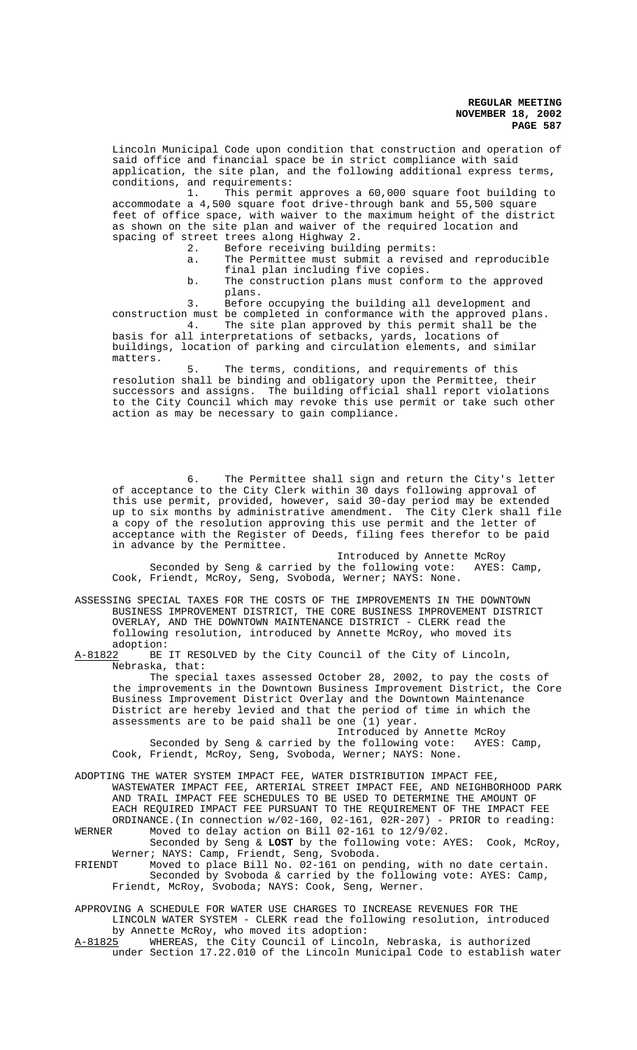Lincoln Municipal Code upon condition that construction and operation of said office and financial space be in strict compliance with said application, the site plan, and the following additional express terms, conditions, and requirements:

1. This permit approves a 60,000 square foot building to accommodate a 4,500 square foot drive-through bank and 55,500 square feet of office space, with waiver to the maximum height of the district as shown on the site plan and waiver of the required location and spacing of street trees along Highway 2.

- Before receiving building permits:
- a. The Permittee must submit a revised and reproducible final plan including five copies.
	- b. The construction plans must conform to the approved plans.

3. Before occupying the building all development and construction must be completed in conformance with the approved plans.

4. The site plan approved by this permit shall be the basis for all interpretations of setbacks, yards, locations of buildings, location of parking and circulation elements, and similar matters.

5. The terms, conditions, and requirements of this resolution shall be binding and obligatory upon the Permittee, their successors and assigns. The building official shall report violations to the City Council which may revoke this use permit or take such other action as may be necessary to gain compliance.

6. The Permittee shall sign and return the City's letter of acceptance to the City Clerk within 30 days following approval of this use permit, provided, however, said 30-day period may be extended up to six months by administrative amendment. The City Clerk shall file a copy of the resolution approving this use permit and the letter of acceptance with the Register of Deeds, filing fees therefor to be paid in advance by the Permittee.

Introduced by Annette McRoy Seconded by Seng & carried by the following vote: AYES: Camp, Cook, Friendt, McRoy, Seng, Svoboda, Werner; NAYS: None.

ASSESSING SPECIAL TAXES FOR THE COSTS OF THE IMPROVEMENTS IN THE DOWNTOWN BUSINESS IMPROVEMENT DISTRICT, THE CORE BUSINESS IMPROVEMENT DISTRICT OVERLAY, AND THE DOWNTOWN MAINTENANCE DISTRICT - CLERK read the following resolution, introduced by Annette McRoy, who moved its adoption:<br>A-81822 BE

BE IT RESOLVED by the City Council of the City of Lincoln, Nebraska, that:

The special taxes assessed October 28, 2002, to pay the costs of the improvements in the Downtown Business Improvement District, the Core Business Improvement District Overlay and the Downtown Maintenance District are hereby levied and that the period of time in which the assessments are to be paid shall be one (1) year.

Introduced by Annette McRoy Seconded by Seng & carried by the following vote: AYES: Camp, Cook, Friendt, McRoy, Seng, Svoboda, Werner; NAYS: None.

ADOPTING THE WATER SYSTEM IMPACT FEE, WATER DISTRIBUTION IMPACT FEE, WASTEWATER IMPACT FEE, ARTERIAL STREET IMPACT FEE, AND NEIGHBORHOOD PARK AND TRAIL IMPACT FEE SCHEDULES TO BE USED TO DETERMINE THE AMOUNT OF EACH REQUIRED IMPACT FEE PURSUANT TO THE REQUIREMENT OF THE IMPACT FEE ORDINANCE.(In connection w/02-160, 02-161, 02R-207) - PRIOR to reading:

WERNER Moved to delay action on Bill 02-161 to 12/9/02. Seconded by Seng & **LOST** by the following vote: AYES: Cook, McRoy,

Werner; NAYS: Camp, Friendt, Seng, Svoboda.<br>FRIENDT Moved to place Bill No. 02-161 on pen Moved to place Bill No. 02-161 on pending, with no date certain. Seconded by Svoboda & carried by the following vote: AYES: Camp, Friendt, McRoy, Svoboda; NAYS: Cook, Seng, Werner.

APPROVING A SCHEDULE FOR WATER USE CHARGES TO INCREASE REVENUES FOR THE LINCOLN WATER SYSTEM - CLERK read the following resolution, introduced by Annette McRoy, who moved its adoption:

A-81825 WHEREAS, the City Council of Lincoln, Nebraska, is authorized under Section 17.22.010 of the Lincoln Municipal Code to establish water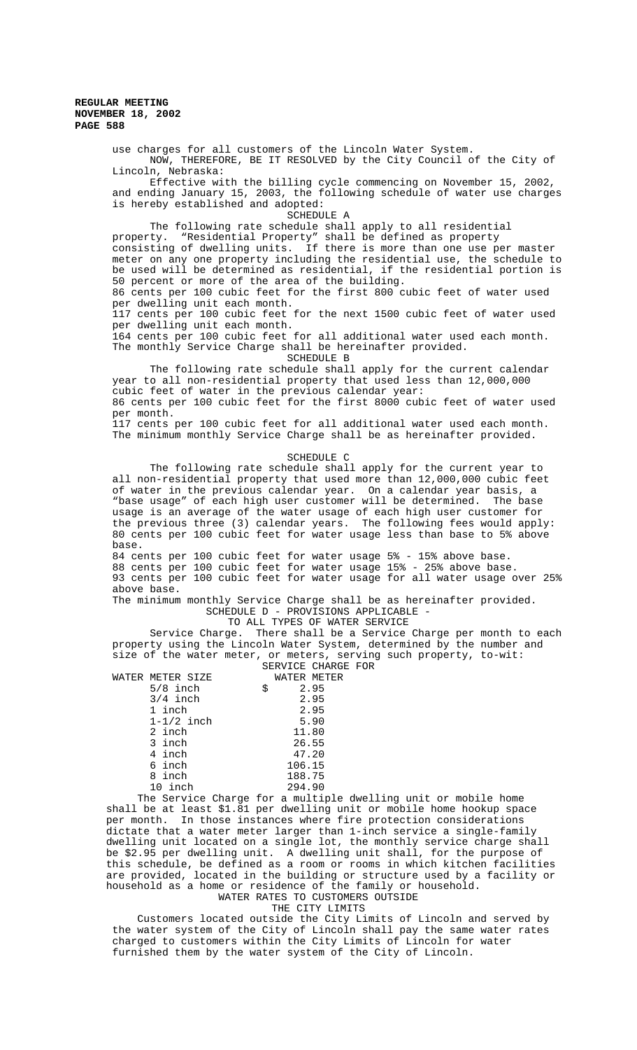use charges for all customers of the Lincoln Water System. NOW, THEREFORE, BE IT RESOLVED by the City Council of the City of Lincoln, Nebraska:

Effective with the billing cycle commencing on November 15, 2002, and ending January 15, 2003, the following schedule of water use charges is hereby established and adopted:

SCHEDULE A

The following rate schedule shall apply to all residential property. "Residential Property" shall be defined as property consisting of dwelling units. If there is more than one use per master meter on any one property including the residential use, the schedule to be used will be determined as residential, if the residential portion is 50 percent or more of the area of the building. 86 cents per 100 cubic feet for the first 800 cubic feet of water used per dwelling unit each month.

117 cents per 100 cubic feet for the next 1500 cubic feet of water used per dwelling unit each month.

164 cents per 100 cubic feet for all additional water used each month. The monthly Service Charge shall be hereinafter provided. SCHEDULE B

The following rate schedule shall apply for the current calendar year to all non-residential property that used less than 12,000,000 cubic feet of water in the previous calendar year: 86 cents per 100 cubic feet for the first 8000 cubic feet of water used per month. 117 cents per 100 cubic feet for all additional water used each month.

The minimum monthly Service Charge shall be as hereinafter provided.

#### SCHEDULE C

The following rate schedule shall apply for the current year to all non-residential property that used more than 12,000,000 cubic feet of water in the previous calendar year. On a calendar year basis, a "base usage" of each high user customer will be determined. The base usage is an average of the water usage of each high user customer for the previous three (3) calendar years. The following fees would apply: 80 cents per 100 cubic feet for water usage less than base to 5% above base. 84 cents per 100 cubic feet for water usage 5% - 15% above base.

88 cents per 100 cubic feet for water usage 15% - 25% above base. 93 cents per 100 cubic feet for water usage for all water usage over 25% above base.

The minimum monthly Service Charge shall be as hereinafter provided. SCHEDULE D - PROVISIONS APPLICABLE -

# TO ALL TYPES OF WATER SERVICE

Service Charge. There shall be a Service Charge per month to each property using the Lincoln Water System, determined by the number and size of the water meter, or meters, serving such property, to-wit: SERVICE CHARGE FOR

| SERVICE CHARGE F |  |
|------------------|--|
| -------          |  |

| WATER METER SIZE |                | WATER METER |  |
|------------------|----------------|-------------|--|
| $5/8$ inch       |                | 2.95        |  |
| $3/4$ inch       |                | 2.95        |  |
| 1 inch           |                | 2.95        |  |
| $1-1/2$ inch     |                | 5.90        |  |
| 2 inch           |                | 11.80       |  |
| 3 inch           |                | 26.55       |  |
| 4 inch           |                | 47.20       |  |
| 6 inch           |                | 106.15      |  |
| 8 inch           |                | 188.75      |  |
| 10 inch          |                | 294.90      |  |
| ~<br>$\sim$      | $\overline{ }$ |             |  |

 The Service Charge for a multiple dwelling unit or mobile home shall be at least \$1.81 per dwelling unit or mobile home hookup space per month. In those instances where fire protection considerations dictate that a water meter larger than 1-inch service a single-family dwelling unit located on a single lot, the monthly service charge shall be \$2.95 per dwelling unit. A dwelling unit shall, for the purpose of this schedule, be defined as a room or rooms in which kitchen facilities are provided, located in the building or structure used by a facility or household as a home or residence of the family or household. WATER RATES TO CUSTOMERS OUTSIDE

THE CITY LIMITS

 Customers located outside the City Limits of Lincoln and served by the water system of the City of Lincoln shall pay the same water rates charged to customers within the City Limits of Lincoln for water furnished them by the water system of the City of Lincoln.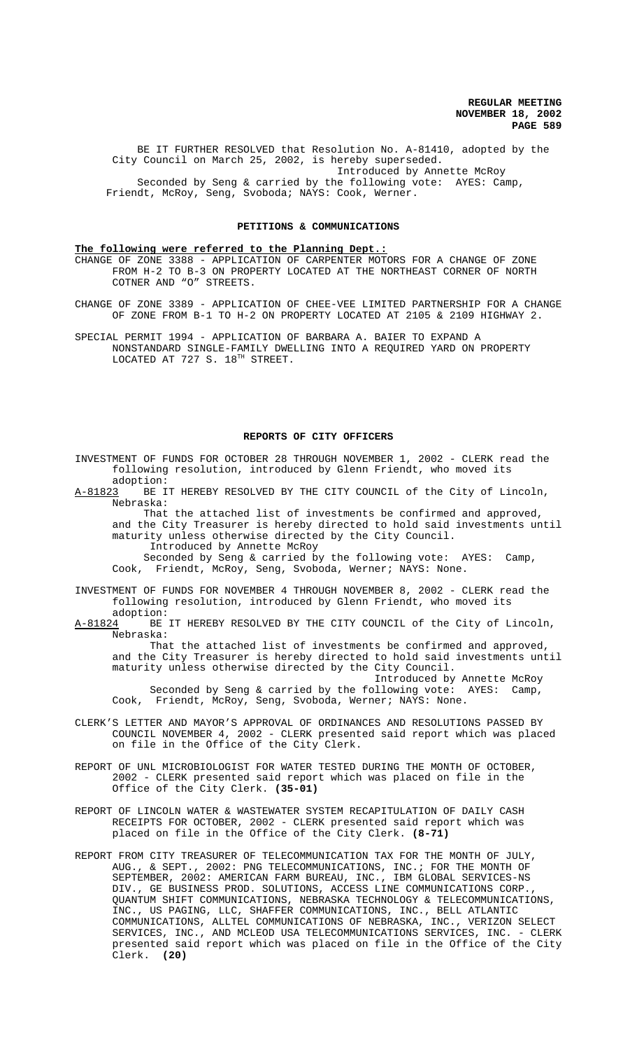BE IT FURTHER RESOLVED that Resolution No. A-81410, adopted by the City Council on March 25, 2002, is hereby superseded. Introduced by Annette McRoy Seconded by Seng & carried by the following vote: AYES: Camp, Friendt, McRoy, Seng, Svoboda; NAYS: Cook, Werner.

#### **PETITIONS & COMMUNICATIONS**

# **The following were referred to the Planning Dept.:**

CHANGE OF ZONE 3388 - APPLICATION OF CARPENTER MOTORS FOR A CHANGE OF ZONE FROM H-2 TO B-3 ON PROPERTY LOCATED AT THE NORTHEAST CORNER OF NORTH COTNER AND "O" STREETS.

CHANGE OF ZONE 3389 - APPLICATION OF CHEE-VEE LIMITED PARTNERSHIP FOR A CHANGE OF ZONE FROM B-1 TO H-2 ON PROPERTY LOCATED AT 2105 & 2109 HIGHWAY 2.

SPECIAL PERMIT 1994 - APPLICATION OF BARBARA A. BAIER TO EXPAND A NONSTANDARD SINGLE-FAMILY DWELLING INTO A REQUIRED YARD ON PROPERTY LOCATED AT 727 S.  $18^{TH}$  STREET.

#### **REPORTS OF CITY OFFICERS**

INVESTMENT OF FUNDS FOR OCTOBER 28 THROUGH NOVEMBER 1, 2002 - CLERK read the following resolution, introduced by Glenn Friendt, who moved its adoption:

A-81823 BE IT HEREBY RESOLVED BY THE CITY COUNCIL of the City of Lincoln, Nebraska:

 That the attached list of investments be confirmed and approved, and the City Treasurer is hereby directed to hold said investments until maturity unless otherwise directed by the City Council. Introduced by Annette McRoy

 Seconded by Seng & carried by the following vote: AYES: Camp, Cook, Friendt, McRoy, Seng, Svoboda, Werner; NAYS: None.

INVESTMENT OF FUNDS FOR NOVEMBER 4 THROUGH NOVEMBER 8, 2002 - CLERK read the following resolution, introduced by Glenn Friendt, who moved its

adoption:<br><u>A-81824</u> BE BE IT HEREBY RESOLVED BY THE CITY COUNCIL of the City of Lincoln, Nebraska:

That the attached list of investments be confirmed and approved, and the City Treasurer is hereby directed to hold said investments until maturity unless otherwise directed by the City Council.

Introduced by Annette McRoy Seconded by Seng & carried by the following vote: AYES: Camp, Cook, Friendt, McRoy, Seng, Svoboda, Werner; NAYS: None.

- CLERK'S LETTER AND MAYOR'S APPROVAL OF ORDINANCES AND RESOLUTIONS PASSED BY COUNCIL NOVEMBER 4, 2002 - CLERK presented said report which was placed on file in the Office of the City Clerk.
- REPORT OF UNL MICROBIOLOGIST FOR WATER TESTED DURING THE MONTH OF OCTOBER, 2002 - CLERK presented said report which was placed on file in the Office of the City Clerk. **(35-01)**
- REPORT OF LINCOLN WATER & WASTEWATER SYSTEM RECAPITULATION OF DAILY CASH RECEIPTS FOR OCTOBER, 2002 - CLERK presented said report which was placed on file in the Office of the City Clerk. **(8-71)**
- REPORT FROM CITY TREASURER OF TELECOMMUNICATION TAX FOR THE MONTH OF JULY, AUG., & SEPT., 2002: PNG TELECOMMUNICATIONS, INC.; FOR THE MONTH OF SEPTEMBER, 2002: AMERICAN FARM BUREAU, INC., IBM GLOBAL SERVICES-NS DIV., GE BUSINESS PROD. SOLUTIONS, ACCESS LINE COMMUNICATIONS CORP., QUANTUM SHIFT COMMUNICATIONS, NEBRASKA TECHNOLOGY & TELECOMMUNICATIONS, INC., US PAGING, LLC, SHAFFER COMMUNICATIONS, INC., BELL ATLANTIC COMMUNICATIONS, ALLTEL COMMUNICATIONS OF NEBRASKA, INC., VERIZON SELECT SERVICES, INC., AND MCLEOD USA TELECOMMUNICATIONS SERVICES, INC. - CLERK presented said report which was placed on file in the Office of the City Clerk. **(20)**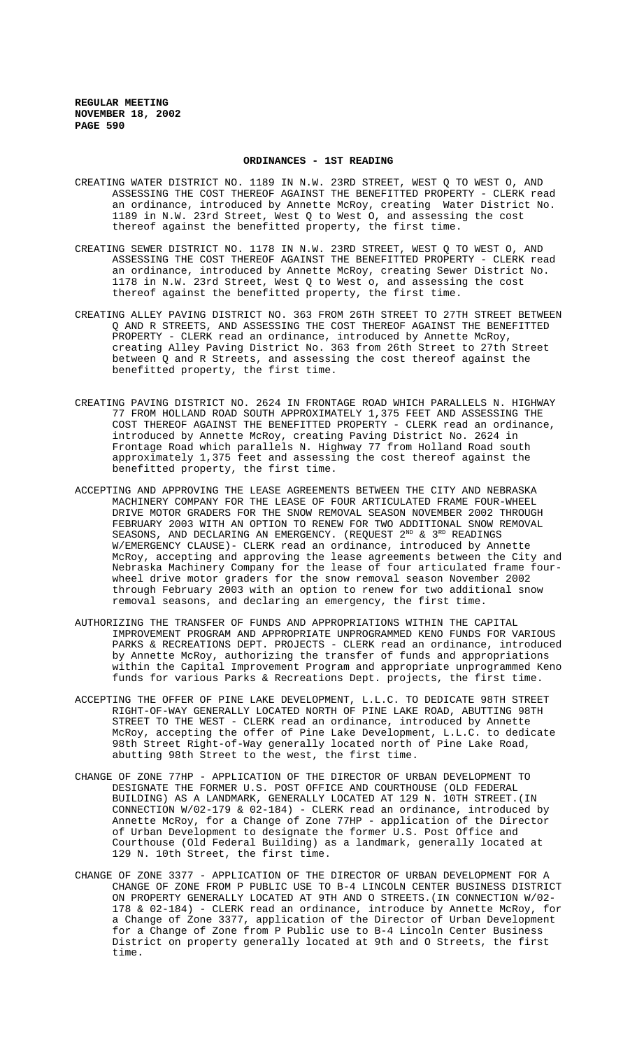#### **ORDINANCES - 1ST READING**

- CREATING WATER DISTRICT NO. 1189 IN N.W. 23RD STREET, WEST Q TO WEST O, AND ASSESSING THE COST THEREOF AGAINST THE BENEFITTED PROPERTY - CLERK read an ordinance, introduced by Annette McRoy, creating Water District No. 1189 in N.W. 23rd Street, West Q to West O, and assessing the cost thereof against the benefitted property, the first time.
- CREATING SEWER DISTRICT NO. 1178 IN N.W. 23RD STREET, WEST Q TO WEST O, AND ASSESSING THE COST THEREOF AGAINST THE BENEFITTED PROPERTY - CLERK read an ordinance, introduced by Annette McRoy, creating Sewer District No. 1178 in N.W. 23rd Street, West Q to West o, and assessing the cost thereof against the benefitted property, the first time.
- CREATING ALLEY PAVING DISTRICT NO. 363 FROM 26TH STREET TO 27TH STREET BETWEEN Q AND R STREETS, AND ASSESSING THE COST THEREOF AGAINST THE BENEFITTED PROPERTY - CLERK read an ordinance, introduced by Annette McRoy, creating Alley Paving District No. 363 from 26th Street to 27th Street between Q and R Streets, and assessing the cost thereof against the benefitted property, the first time.
- CREATING PAVING DISTRICT NO. 2624 IN FRONTAGE ROAD WHICH PARALLELS N. HIGHWAY 77 FROM HOLLAND ROAD SOUTH APPROXIMATELY 1,375 FEET AND ASSESSING THE COST THEREOF AGAINST THE BENEFITTED PROPERTY - CLERK read an ordinance, introduced by Annette McRoy, creating Paving District No. 2624 in Frontage Road which parallels N. Highway 77 from Holland Road south approximately 1,375 feet and assessing the cost thereof against the benefitted property, the first time.
- ACCEPTING AND APPROVING THE LEASE AGREEMENTS BETWEEN THE CITY AND NEBRASKA MACHINERY COMPANY FOR THE LEASE OF FOUR ARTICULATED FRAME FOUR-WHEEL DRIVE MOTOR GRADERS FOR THE SNOW REMOVAL SEASON NOVEMBER 2002 THROUGH FEBRUARY 2003 WITH AN OPTION TO RENEW FOR TWO ADDITIONAL SNOW REMOVAL SEASONS, AND DECLARING AN EMERGENCY. (REQUEST  $2^{ND}$  &  $3^{RD}$  READINGS W/EMERGENCY CLAUSE)- CLERK read an ordinance, introduced by Annette McRoy, accepting and approving the lease agreements between the City and Nebraska Machinery Company for the lease of four articulated frame fourwheel drive motor graders for the snow removal season November 2002 through February 2003 with an option to renew for two additional snow removal seasons, and declaring an emergency, the first time.
- AUTHORIZING THE TRANSFER OF FUNDS AND APPROPRIATIONS WITHIN THE CAPITAL IMPROVEMENT PROGRAM AND APPROPRIATE UNPROGRAMMED KENO FUNDS FOR VARIOUS PARKS & RECREATIONS DEPT. PROJECTS - CLERK read an ordinance, introduced by Annette McRoy, authorizing the transfer of funds and appropriations within the Capital Improvement Program and appropriate unprogrammed Keno funds for various Parks & Recreations Dept. projects, the first time.
- ACCEPTING THE OFFER OF PINE LAKE DEVELOPMENT, L.L.C. TO DEDICATE 98TH STREET RIGHT-OF-WAY GENERALLY LOCATED NORTH OF PINE LAKE ROAD, ABUTTING 98TH STREET TO THE WEST - CLERK read an ordinance, introduced by Annette McRoy, accepting the offer of Pine Lake Development, L.L.C. to dedicate 98th Street Right-of-Way generally located north of Pine Lake Road, abutting 98th Street to the west, the first time.
- CHANGE OF ZONE 77HP APPLICATION OF THE DIRECTOR OF URBAN DEVELOPMENT TO DESIGNATE THE FORMER U.S. POST OFFICE AND COURTHOUSE (OLD FEDERAL BUILDING) AS A LANDMARK, GENERALLY LOCATED AT 129 N. 10TH STREET.(IN CONNECTION W/02-179 & 02-184) - CLERK read an ordinance, introduced by Annette McRoy, for a Change of Zone 77HP - application of the Director of Urban Development to designate the former U.S. Post Office and Courthouse (Old Federal Building) as a landmark, generally located at 129 N. 10th Street, the first time.
- CHANGE OF ZONE 3377 APPLICATION OF THE DIRECTOR OF URBAN DEVELOPMENT FOR A CHANGE OF ZONE FROM P PUBLIC USE TO B-4 LINCOLN CENTER BUSINESS DISTRICT ON PROPERTY GENERALLY LOCATED AT 9TH AND O STREETS.(IN CONNECTION W/02- 178 & 02-184) - CLERK read an ordinance, introduce by Annette McRoy, for a Change of Zone 3377, application of the Director of Urban Development for a Change of Zone from P Public use to B-4 Lincoln Center Business District on property generally located at 9th and O Streets, the first time.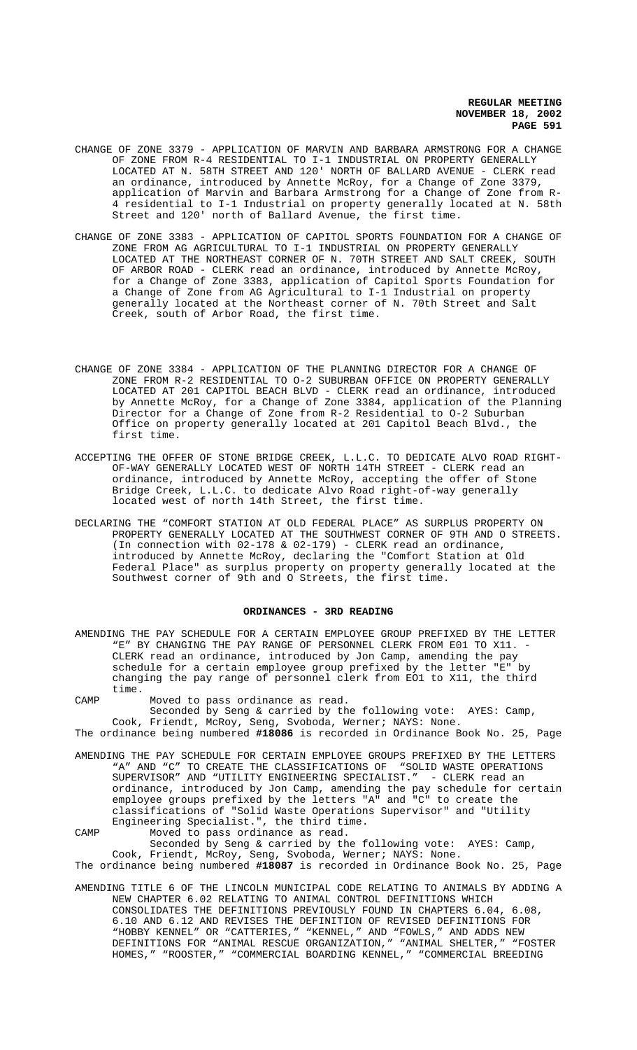- CHANGE OF ZONE 3379 APPLICATION OF MARVIN AND BARBARA ARMSTRONG FOR A CHANGE OF ZONE FROM R-4 RESIDENTIAL TO I-1 INDUSTRIAL ON PROPERTY GENERALLY LOCATED AT N. 58TH STREET AND 120' NORTH OF BALLARD AVENUE - CLERK read an ordinance, introduced by Annette McRoy, for a Change of Zone 3379, application of Marvin and Barbara Armstrong for a Change of Zone from R-4 residential to I-1 Industrial on property generally located at N. 58th Street and 120' north of Ballard Avenue, the first time.
- CHANGE OF ZONE 3383 APPLICATION OF CAPITOL SPORTS FOUNDATION FOR A CHANGE OF ZONE FROM AG AGRICULTURAL TO I-1 INDUSTRIAL ON PROPERTY GENERALLY LOCATED AT THE NORTHEAST CORNER OF N. 70TH STREET AND SALT CREEK, SOUTH OF ARBOR ROAD - CLERK read an ordinance, introduced by Annette McRoy, for a Change of Zone 3383, application of Capitol Sports Foundation for a Change of Zone from AG Agricultural to I-1 Industrial on property generally located at the Northeast corner of N. 70th Street and Salt Creek, south of Arbor Road, the first time.
- CHANGE OF ZONE 3384 APPLICATION OF THE PLANNING DIRECTOR FOR A CHANGE OF ZONE FROM R-2 RESIDENTIAL TO O-2 SUBURBAN OFFICE ON PROPERTY GENERALLY LOCATED AT 201 CAPITOL BEACH BLVD - CLERK read an ordinance, introduced by Annette McRoy, for a Change of Zone 3384, application of the Planning Director for a Change of Zone from R-2 Residential to O-2 Suburban Office on property generally located at 201 Capitol Beach Blvd., the first time.
- ACCEPTING THE OFFER OF STONE BRIDGE CREEK, L.L.C. TO DEDICATE ALVO ROAD RIGHT-OF-WAY GENERALLY LOCATED WEST OF NORTH 14TH STREET - CLERK read an ordinance, introduced by Annette McRoy, accepting the offer of Stone Bridge Creek, L.L.C. to dedicate Alvo Road right-of-way generally located west of north 14th Street, the first time.
- DECLARING THE "COMFORT STATION AT OLD FEDERAL PLACE" AS SURPLUS PROPERTY ON PROPERTY GENERALLY LOCATED AT THE SOUTHWEST CORNER OF 9TH AND O STREETS. (In connection with 02-178 & 02-179) - CLERK read an ordinance, introduced by Annette McRoy, declaring the "Comfort Station at Old Federal Place" as surplus property on property generally located at the Southwest corner of 9th and O Streets, the first time.

#### **ORDINANCES - 3RD READING**

- AMENDING THE PAY SCHEDULE FOR A CERTAIN EMPLOYEE GROUP PREFIXED BY THE LETTER "E" BY CHANGING THE PAY RANGE OF PERSONNEL CLERK FROM E01 TO X11. -CLERK read an ordinance, introduced by Jon Camp, amending the pay schedule for a certain employee group prefixed by the letter "E" by changing the pay range of personnel clerk from EO1 to X11, the third time.
- CAMP Moved to pass ordinance as read.
- Seconded by Seng & carried by the following vote: AYES: Camp, Cook, Friendt, McRoy, Seng, Svoboda, Werner; NAYS: None.
- The ordinance being numbered **#18086** is recorded in Ordinance Book No. 25, Page
- AMENDING THE PAY SCHEDULE FOR CERTAIN EMPLOYEE GROUPS PREFIXED BY THE LETTERS "A" AND "C" TO CREATE THE CLASSIFICATIONS OF "SOLID WASTE OPERATIONS SUPERVISOR" AND "UTILITY ENGINEERING SPECIALIST." - CLERK read an ordinance, introduced by Jon Camp, amending the pay schedule for certain employee groups prefixed by the letters "A" and "C" to create the classifications of "Solid Waste Operations Supervisor" and "Utility Engineering Specialist.", the third time.
- CAMP Moved to pass ordinance as read. Seconded by Seng & carried by the following vote: AYES: Camp, Cook, Friendt, McRoy, Seng, Svoboda, Werner; NAYS: None. The ordinance being numbered **#18087** is recorded in Ordinance Book No. 25, Page
- AMENDING TITLE 6 OF THE LINCOLN MUNICIPAL CODE RELATING TO ANIMALS BY ADDING A NEW CHAPTER 6.02 RELATING TO ANIMAL CONTROL DEFINITIONS WHICH CONSOLIDATES THE DEFINITIONS PREVIOUSLY FOUND IN CHAPTERS 6.04, 6.08, 6.10 AND 6.12 AND REVISES THE DEFINITION OF REVISED DEFINITIONS FOR "HOBBY KENNEL" OR "CATTERIES," "KENNEL," AND "FOWLS," AND ADDS NEW DEFINITIONS FOR "ANIMAL RESCUE ORGANIZATION," "ANIMAL SHELTER," "FOSTER HOMES," "ROOSTER," "COMMERCIAL BOARDING KENNEL," "COMMERCIAL BREEDING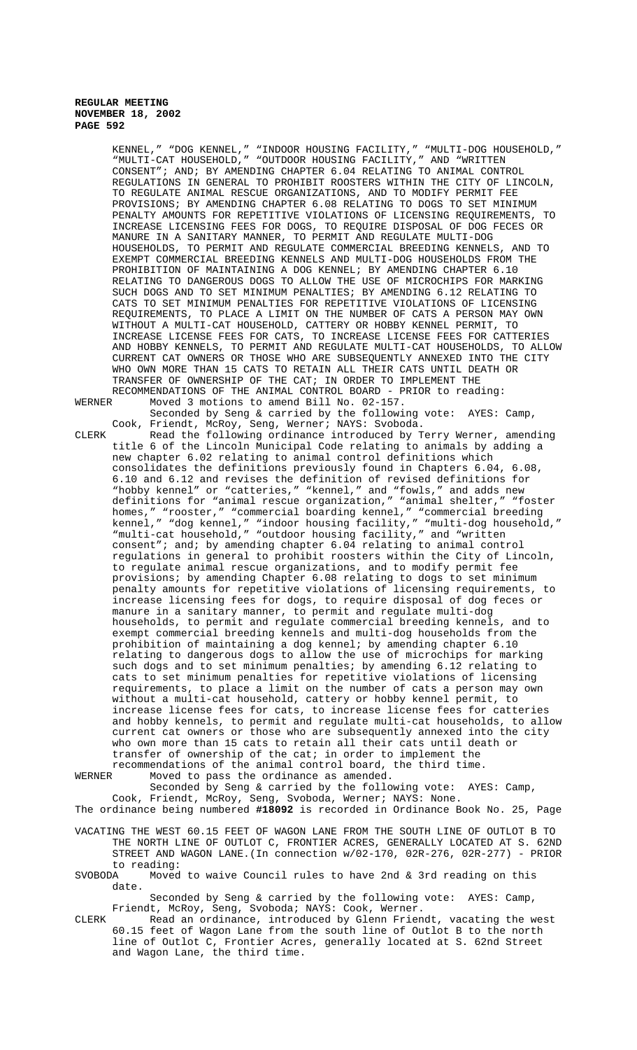KENNEL," "DOG KENNEL," "INDOOR HOUSING FACILITY," "MULTI-DOG HOUSEHOLD," "MULTI-CAT HOUSEHOLD," "OUTDOOR HOUSING FACILITY," AND "WRITTEN CONSENT"; AND; BY AMENDING CHAPTER 6.04 RELATING TO ANIMAL CONTROL REGULATIONS IN GENERAL TO PROHIBIT ROOSTERS WITHIN THE CITY OF LINCOLN, TO REGULATE ANIMAL RESCUE ORGANIZATIONS, AND TO MODIFY PERMIT FEE PROVISIONS; BY AMENDING CHAPTER 6.08 RELATING TO DOGS TO SET MINIMUM PENALTY AMOUNTS FOR REPETITIVE VIOLATIONS OF LICENSING REQUIREMENTS, TO INCREASE LICENSING FEES FOR DOGS, TO REQUIRE DISPOSAL OF DOG FECES OR MANURE IN A SANITARY MANNER, TO PERMIT AND REGULATE MULTI-DOG HOUSEHOLDS, TO PERMIT AND REGULATE COMMERCIAL BREEDING KENNELS, AND TO EXEMPT COMMERCIAL BREEDING KENNELS AND MULTI-DOG HOUSEHOLDS FROM THE PROHIBITION OF MAINTAINING A DOG KENNEL; BY AMENDING CHAPTER 6.10 RELATING TO DANGEROUS DOGS TO ALLOW THE USE OF MICROCHIPS FOR MARKING SUCH DOGS AND TO SET MINIMUM PENALTIES; BY AMENDING 6.12 RELATING TO CATS TO SET MINIMUM PENALTIES FOR REPETITIVE VIOLATIONS OF LICENSING REQUIREMENTS, TO PLACE A LIMIT ON THE NUMBER OF CATS A PERSON MAY OWN WITHOUT A MULTI-CAT HOUSEHOLD, CATTERY OR HOBBY KENNEL PERMIT, TO INCREASE LICENSE FEES FOR CATS, TO INCREASE LICENSE FEES FOR CATTERIES AND HOBBY KENNELS, TO PERMIT AND REGULATE MULTI-CAT HOUSEHOLDS, TO ALLOW CURRENT CAT OWNERS OR THOSE WHO ARE SUBSEQUENTLY ANNEXED INTO THE CITY WHO OWN MORE THAN 15 CATS TO RETAIN ALL THEIR CATS UNTIL DEATH OR TRANSFER OF OWNERSHIP OF THE CAT; IN ORDER TO IMPLEMENT THE RECOMMENDATIONS OF THE ANIMAL CONTROL BOARD - PRIOR to reading:<br>WERNER Moved 3 motions to amend Bill No. 02-157. Moved 3 motions to amend Bill No. 02-157.

Seconded by Seng & carried by the following vote: AYES: Camp, Cook, Friendt, McRoy, Seng, Werner; NAYS: Svoboda.

CLERK Read the following ordinance introduced by Terry Werner, amending title 6 of the Lincoln Municipal Code relating to animals by adding a new chapter 6.02 relating to animal control definitions which consolidates the definitions previously found in Chapters 6.04, 6.08, 6.10 and 6.12 and revises the definition of revised definitions for "hobby kennel" or "catteries," "kennel," and "fowls," and adds new definitions for "animal rescue organization," "animal shelter," "foster homes," "rooster," "commercial boarding kennel," "commercial breeding kennel," "dog kennel," "indoor housing facility," "multi-dog household," "multi-cat household," "outdoor housing facility," and "written consent"; and; by amending chapter 6.04 relating to animal control regulations in general to prohibit roosters within the City of Lincoln, to regulate animal rescue organizations, and to modify permit fee provisions; by amending Chapter 6.08 relating to dogs to set minimum penalty amounts for repetitive violations of licensing requirements, to increase licensing fees for dogs, to require disposal of dog feces or manure in a sanitary manner, to permit and regulate multi-dog households, to permit and regulate commercial breeding kennels, and to exempt commercial breeding kennels and multi-dog households from the prohibition of maintaining a dog kennel; by amending chapter 6.10 relating to dangerous dogs to allow the use of microchips for marking such dogs and to set minimum penalties; by amending 6.12 relating to cats to set minimum penalties for repetitive violations of licensing requirements, to place a limit on the number of cats a person may own without a multi-cat household, cattery or hobby kennel permit, to increase license fees for cats, to increase license fees for catteries and hobby kennels, to permit and regulate multi-cat households, to allow current cat owners or those who are subsequently annexed into the city who own more than 15 cats to retain all their cats until death or transfer of ownership of the cat; in order to implement the recommendations of the animal control board, the third time.

WERNER Moved to pass the ordinance as amended.

Seconded by Seng & carried by the following vote: AYES: Camp, Cook, Friendt, McRoy, Seng, Svoboda, Werner; NAYS: None. The ordinance being numbered **#18092** is recorded in Ordinance Book No. 25, Page

VACATING THE WEST 60.15 FEET OF WAGON LANE FROM THE SOUTH LINE OF OUTLOT B TO THE NORTH LINE OF OUTLOT C, FRONTIER ACRES, GENERALLY LOCATED AT S. 62ND

STREET AND WAGON LANE.(In connection w/02-170, 02R-276, 02R-277) - PRIOR to reading:<br>SVOBODA Moved

Moved to waive Council rules to have 2nd  $\&$  3rd reading on this date.

Seconded by Seng & carried by the following vote: AYES: Camp, Friendt, McRoy, Seng, Svoboda; NAYS: Cook, Werner.

CLERK Read an ordinance, introduced by Glenn Friendt, vacating the west 60.15 feet of Wagon Lane from the south line of Outlot B to the north line of Outlot C, Frontier Acres, generally located at S. 62nd Street and Wagon Lane, the third time.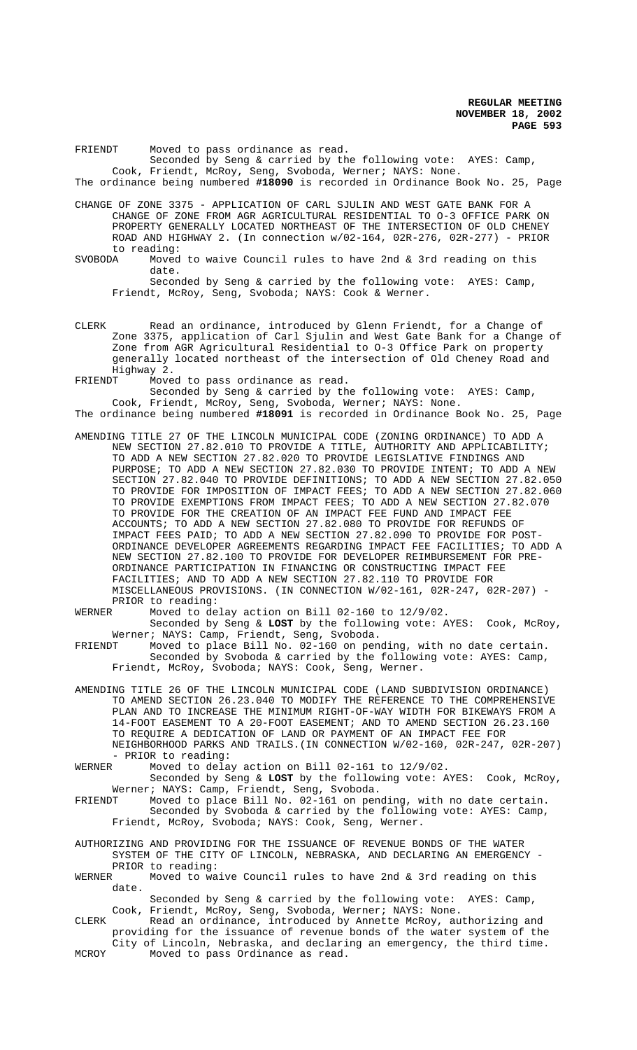FRIENDT Moved to pass ordinance as read. Seconded by Seng & carried by the following vote: AYES: Camp, Cook, Friendt, McRoy, Seng, Svoboda, Werner; NAYS: None. The ordinance being numbered **#18090** is recorded in Ordinance Book No. 25, Page

CHANGE OF ZONE 3375 - APPLICATION OF CARL SJULIN AND WEST GATE BANK FOR A CHANGE OF ZONE FROM AGR AGRICULTURAL RESIDENTIAL TO O-3 OFFICE PARK ON PROPERTY GENERALLY LOCATED NORTHEAST OF THE INTERSECTION OF OLD CHENEY ROAD AND HIGHWAY 2. (In connection w/02-164, 02R-276, 02R-277) - PRIOR to reading:<br>SVOBODA Moved

Moved to waive Council rules to have 2nd  $\&$  3rd reading on this date. Seconded by Seng & carried by the following vote: AYES: Camp, Friendt, McRoy, Seng, Svoboda; NAYS: Cook & Werner.

CLERK Read an ordinance, introduced by Glenn Friendt, for a Change of Zone 3375, application of Carl Sjulin and West Gate Bank for a Change of Zone from AGR Agricultural Residential to O-3 Office Park on property generally located northeast of the intersection of Old Cheney Road and Highway 2.

FRIENDT Moved to pass ordinance as read.

Seconded by Seng & carried by the following vote: AYES: Camp, Cook, Friendt, McRoy, Seng, Svoboda, Werner; NAYS: None. The ordinance being numbered **#18091** is recorded in Ordinance Book No. 25, Page

AMENDING TITLE 27 OF THE LINCOLN MUNICIPAL CODE (ZONING ORDINANCE) TO ADD A NEW SECTION 27.82.010 TO PROVIDE A TITLE, AUTHORITY AND APPLICABILITY; TO ADD A NEW SECTION 27.82.020 TO PROVIDE LEGISLATIVE FINDINGS AND PURPOSE; TO ADD A NEW SECTION 27.82.030 TO PROVIDE INTENT; TO ADD A NEW SECTION 27.82.040 TO PROVIDE DEFINITIONS; TO ADD A NEW SECTION 27.82.050 TO PROVIDE FOR IMPOSITION OF IMPACT FEES; TO ADD A NEW SECTION 27.82.060 TO PROVIDE EXEMPTIONS FROM IMPACT FEES; TO ADD A NEW SECTION 27.82.070 TO PROVIDE FOR THE CREATION OF AN IMPACT FEE FUND AND IMPACT FEE ACCOUNTS; TO ADD A NEW SECTION 27.82.080 TO PROVIDE FOR REFUNDS OF IMPACT FEES PAID; TO ADD A NEW SECTION 27.82.090 TO PROVIDE FOR POST-ORDINANCE DEVELOPER AGREEMENTS REGARDING IMPACT FEE FACILITIES; TO ADD A NEW SECTION 27.82.100 TO PROVIDE FOR DEVELOPER REIMBURSEMENT FOR PRE-ORDINANCE PARTICIPATION IN FINANCING OR CONSTRUCTING IMPACT FEE FACILITIES; AND TO ADD A NEW SECTION 27.82.110 TO PROVIDE FOR MISCELLANEOUS PROVISIONS. (IN CONNECTION W/02-161, 02R-247, 02R-207) - PRIOR to reading:<br>WERNER Moved to de

Moved to delay action on Bill 02-160 to 12/9/02.

Seconded by Seng & **LOST** by the following vote: AYES: Cook, McRoy, Werner; NAYS: Camp, Friendt, Seng, Svoboda.

FRIENDT Moved to place Bill No. 02-160 on pending, with no date certain. Seconded by Svoboda & carried by the following vote: AYES: Camp, Friendt, McRoy, Svoboda; NAYS: Cook, Seng, Werner.

AMENDING TITLE 26 OF THE LINCOLN MUNICIPAL CODE (LAND SUBDIVISION ORDINANCE) TO AMEND SECTION 26.23.040 TO MODIFY THE REFERENCE TO THE COMPREHENSIVE PLAN AND TO INCREASE THE MINIMUM RIGHT-OF-WAY WIDTH FOR BIKEWAYS FROM A 14-FOOT EASEMENT TO A 20-FOOT EASEMENT; AND TO AMEND SECTION 26.23.160 TO REQUIRE A DEDICATION OF LAND OR PAYMENT OF AN IMPACT FEE FOR NEIGHBORHOOD PARKS AND TRAILS.(IN CONNECTION W/02-160, 02R-247, 02R-207)

- PRIOR to reading:<br>WERNER Moved to delay Moved to delay action on Bill 02-161 to 12/9/02.

Seconded by Seng & **LOST** by the following vote: AYES: Cook, McRoy, Werner; NAYS: Camp, Friendt, Seng, Svoboda.

FRIENDT Moved to place Bill No. 02-161 on pending, with no date certain. Seconded by Svoboda & carried by the following vote: AYES: Camp, Friendt, McRoy, Svoboda; NAYS: Cook, Seng, Werner.

AUTHORIZING AND PROVIDING FOR THE ISSUANCE OF REVENUE BONDS OF THE WATER SYSTEM OF THE CITY OF LINCOLN, NEBRASKA, AND DECLARING AN EMERGENCY -PRIOR to reading:<br>WERNER Moved to wa

Moved to waive Council rules to have 2nd & 3rd reading on this date.

Seconded by Seng & carried by the following vote: AYES: Camp, Cook, Friendt, McRoy, Seng, Svoboda, Werner; NAYS: None.

CLERK Read an ordinance, introduced by Annette McRoy, authorizing and providing for the issuance of revenue bonds of the water system of the City of Lincoln, Nebraska, and declaring an emergency, the third time.

MCROY Moved to pass Ordinance as read.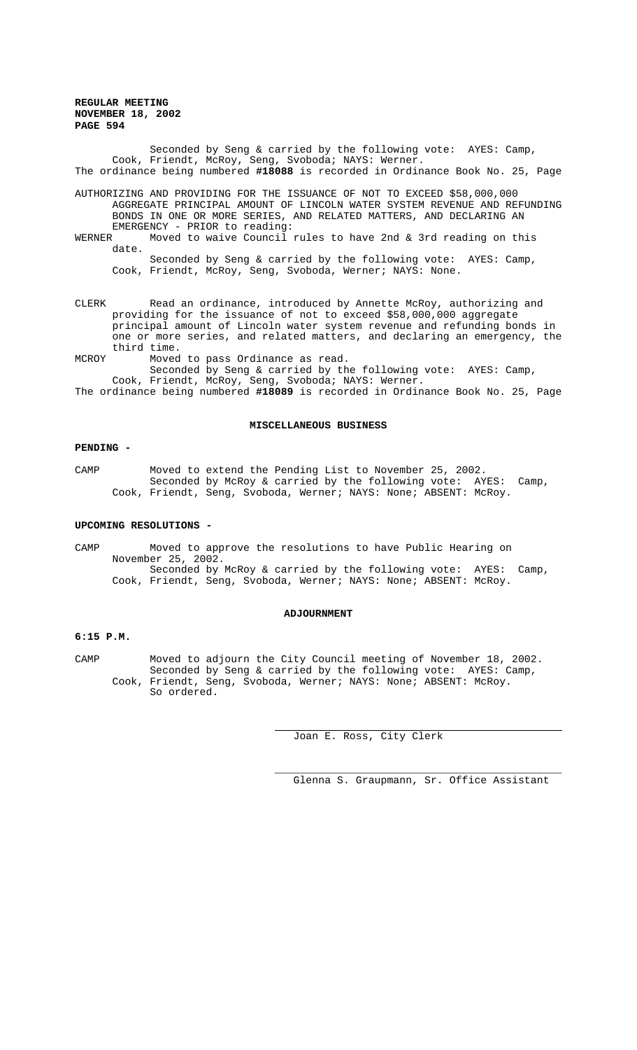Seconded by Seng & carried by the following vote: AYES: Camp, Cook, Friendt, McRoy, Seng, Svoboda; NAYS: Werner. The ordinance being numbered **#18088** is recorded in Ordinance Book No. 25, Page

AUTHORIZING AND PROVIDING FOR THE ISSUANCE OF NOT TO EXCEED \$58,000,000 AGGREGATE PRINCIPAL AMOUNT OF LINCOLN WATER SYSTEM REVENUE AND REFUNDING BONDS IN ONE OR MORE SERIES, AND RELATED MATTERS, AND DECLARING AN EMERGENCY - PRIOR to reading:

WERNER Moved to waive Council rules to have 2nd & 3rd reading on this date.

Seconded by Seng & carried by the following vote: AYES: Camp, Cook, Friendt, McRoy, Seng, Svoboda, Werner; NAYS: None.

CLERK Read an ordinance, introduced by Annette McRoy, authorizing and providing for the issuance of not to exceed \$58,000,000 aggregate principal amount of Lincoln water system revenue and refunding bonds in one or more series, and related matters, and declaring an emergency, the third time.

MCROY Moved to pass Ordinance as read.

Seconded by Seng & carried by the following vote: AYES: Camp, Cook, Friendt, McRoy, Seng, Svoboda; NAYS: Werner. The ordinance being numbered **#18089** is recorded in Ordinance Book No. 25, Page

#### **MISCELLANEOUS BUSINESS**

#### **PENDING -**

CAMP Moved to extend the Pending List to November 25, 2002. Seconded by McRoy & carried by the following vote: AYES: Camp, Cook, Friendt, Seng, Svoboda, Werner; NAYS: None; ABSENT: McRoy.

#### **UPCOMING RESOLUTIONS -**

CAMP Moved to approve the resolutions to have Public Hearing on November 25, 2002. Seconded by McRoy & carried by the following vote: AYES: Camp, Cook, Friendt, Seng, Svoboda, Werner; NAYS: None; ABSENT: McRoy.

#### **ADJOURNMENT**

# **6:15 P.M.**

CAMP Moved to adjourn the City Council meeting of November 18, 2002. Seconded by Seng & carried by the following vote: AYES: Camp, Cook, Friendt, Seng, Svoboda, Werner; NAYS: None; ABSENT: McRoy. So ordered.

 $\overline{a}$ 

Joan E. Ross, City Clerk

\_\_\_\_\_\_\_\_\_\_\_\_\_\_\_\_\_\_\_\_\_\_\_\_\_\_\_\_\_\_\_\_\_\_\_\_\_\_\_\_\_\_\_\_\_\_ Glenna S. Graupmann, Sr. Office Assistant